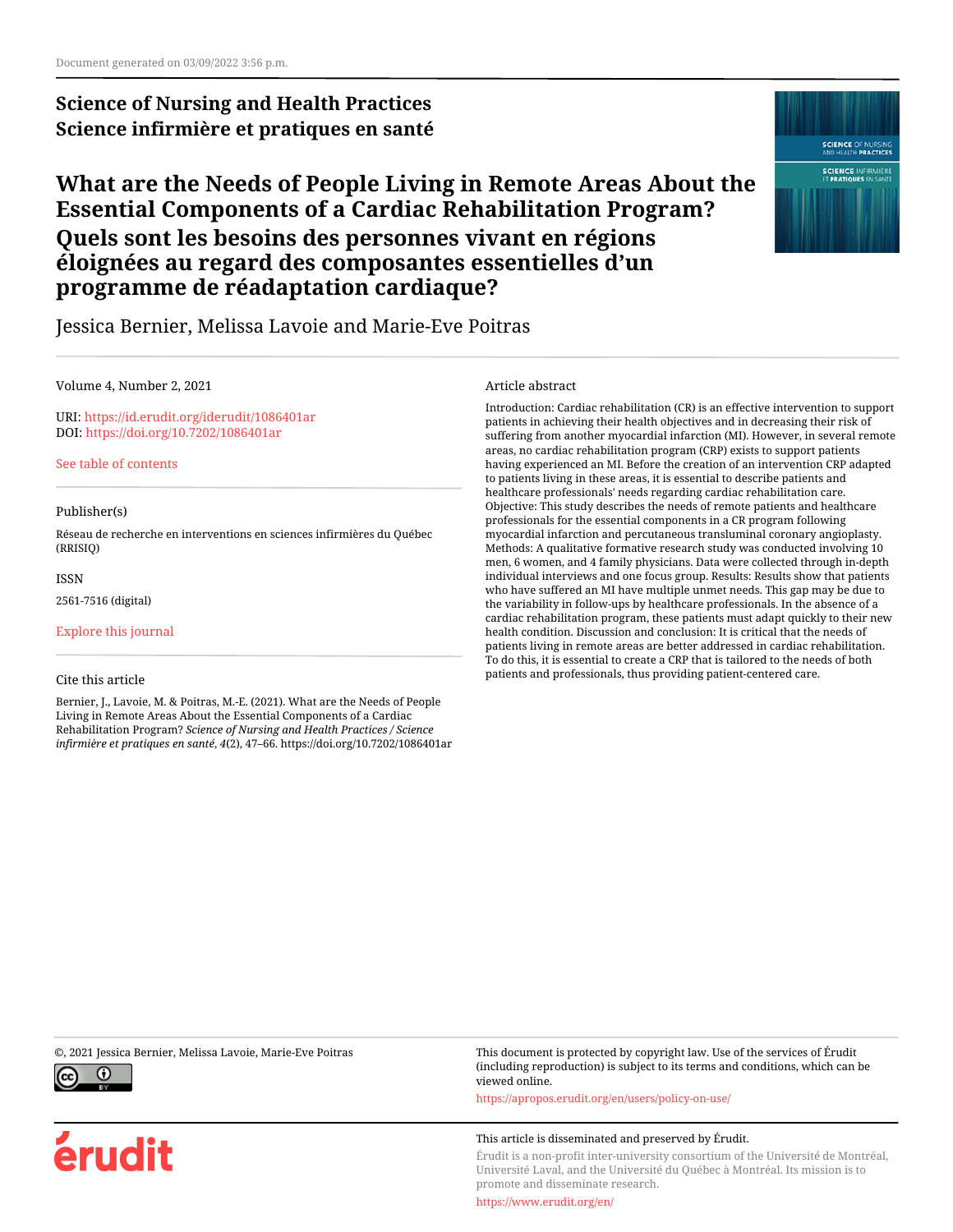# **Science of Nursing and Health Practices Science infirmière et pratiques en santé**

# **What are the Needs of People Living in Remote Areas About the Essential Components of a Cardiac Rehabilitation Program? Quels sont les besoins des personnes vivant en régions éloignées au regard des composantes essentielles d'un programme de réadaptation cardiaque?**



Jessica Bernier, Melissa Lavoie and Marie-Eve Poitras

#### Volume 4, Number 2, 2021

URI:<https://id.erudit.org/iderudit/1086401ar> DOI:<https://doi.org/10.7202/1086401ar>

[See table of contents](https://www.erudit.org/en/journals/snahp/2021-v4-n2-snahp06768/)

#### Publisher(s)

Réseau de recherche en interventions en sciences infirmières du Québec (RRISIQ)

ISSN

2561-7516 (digital)

[Explore this journal](https://www.erudit.org/en/journals/snahp/)

#### Cite this article

Bernier, J., Lavoie, M. & Poitras, M.-E. (2021). What are the Needs of People Living in Remote Areas About the Essential Components of a Cardiac Rehabilitation Program? *Science of Nursing and Health Practices / Science infirmière et pratiques en santé*, *4*(2), 47–66. https://doi.org/10.7202/1086401ar

#### Article abstract

Introduction: Cardiac rehabilitation (CR) is an effective intervention to support patients in achieving their health objectives and in decreasing their risk of suffering from another myocardial infarction (MI). However, in several remote areas, no cardiac rehabilitation program (CRP) exists to support patients having experienced an MI. Before the creation of an intervention CRP adapted to patients living in these areas, it is essential to describe patients and healthcare professionals' needs regarding cardiac rehabilitation care. Objective: This study describes the needs of remote patients and healthcare professionals for the essential components in a CR program following myocardial infarction and percutaneous transluminal coronary angioplasty. Methods: A qualitative formative research study was conducted involving 10 men, 6 women, and 4 family physicians. Data were collected through in-depth individual interviews and one focus group. Results: Results show that patients who have suffered an MI have multiple unmet needs. This gap may be due to the variability in follow-ups by healthcare professionals. In the absence of a cardiac rehabilitation program, these patients must adapt quickly to their new health condition. Discussion and conclusion: It is critical that the needs of patients living in remote areas are better addressed in cardiac rehabilitation. To do this, it is essential to create a CRP that is tailored to the needs of both patients and professionals, thus providing patient-centered care.



érudit

©, 2021 Jessica Bernier, Melissa Lavoie, Marie-Eve Poitras This document is protected by copyright law. Use of the services of Érudit (including reproduction) is subject to its terms and conditions, which can be viewed online.

<https://apropos.erudit.org/en/users/policy-on-use/>

#### This article is disseminated and preserved by Érudit.

Érudit is a non-profit inter-university consortium of the Université de Montréal, Université Laval, and the Université du Québec à Montréal. Its mission is to promote and disseminate research.

<https://www.erudit.org/en/>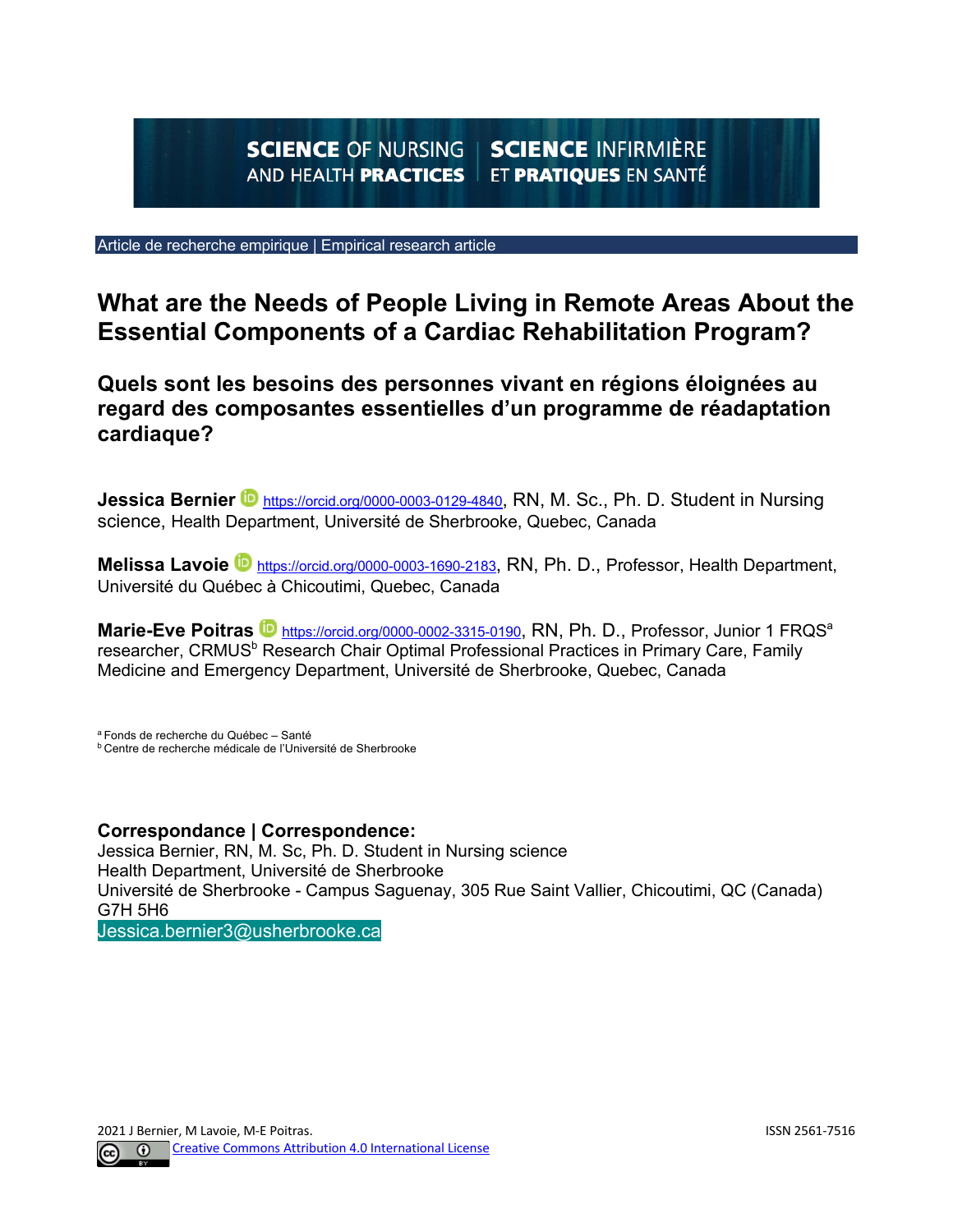#### **SCIENCE INFIRMIÈRE SCIENCE OF NURSING** ET PRATIQUES EN SANTÉ **AND HEALTH PRACTICES**

Article de recherche empirique | Empirical research article

# **What are the Needs of People Living in Remote Areas About the Essential Components of a Cardiac Rehabilitation Program?**

**Quels sont les besoins des personnes vivant en régions éloignées au regard des composantes essentielles d'un programme de réadaptation cardiaque?** 

**Jessica Bernier D** https://orcid.org/0000-0003-0129-4840, RN, M. Sc., Ph. D. Student in Nursing science, Health Department, Université de Sherbrooke, Quebec, Canada

**Melissa Lavoie D** https://orcid.org/0000-0003-1690-2183, RN, Ph. D., Professor, Health Department, Université du Québec à Chicoutimi, Quebec, Canada

Marie-Eve Poitras<sup> in https://orcid.org/0000-0002-3315-0190, RN, Ph. D., Professor, Junior 1 FRQS<sup>a</sup></sup> researcher, CRMUS<sup>b</sup> Research Chair Optimal Professional Practices in Primary Care, Family Medicine and Emergency Department, Université de Sherbrooke, Quebec, Canada

a Fonds de recherche du Québec – Santé b Centre de recherche médicale de l'Université de Sherbrooke

## **Correspondance | Correspondence:**

Jessica Bernier, RN, M. Sc, Ph. D. Student in Nursing science Health Department, Université de Sherbrooke Université de Sherbrooke - Campus Saguenay, 305 Rue Saint Vallier, Chicoutimi, QC (Canada) G7H 5H6

Jessica.bernier3@usherbrooke.ca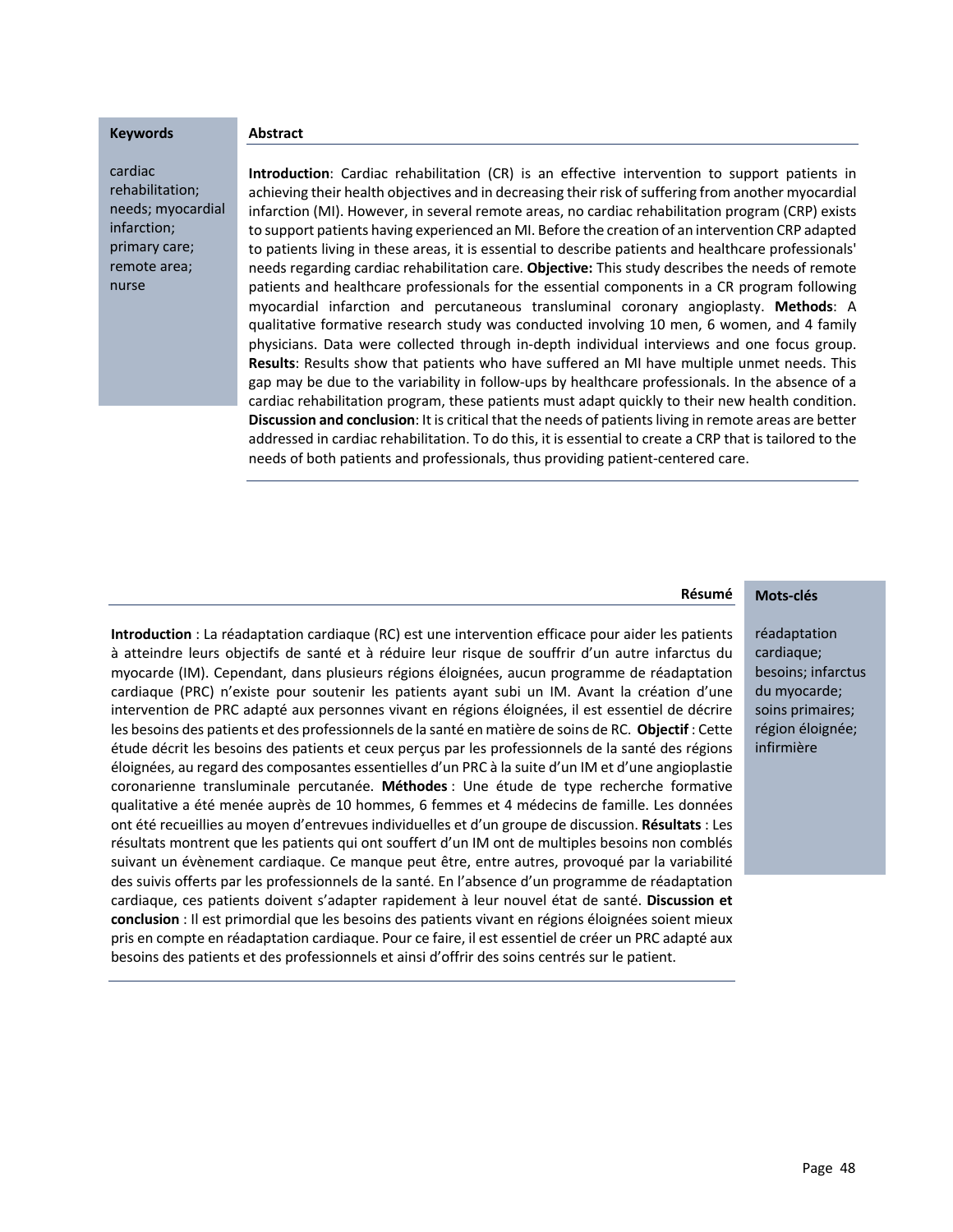#### **Keywords**

cardiac rehabilitation; needs; myocardial infarction; primary care; remote area; nurse

**Abstract** 

**Introduction**: Cardiac rehabilitation (CR) is an effective intervention to support patients in achieving their health objectives and in decreasing their risk of suffering from another myocardial infarction (MI). However, in several remote areas, no cardiac rehabilitation program (CRP) exists to support patients having experienced an MI. Before the creation of an intervention CRP adapted to patients living in these areas, it is essential to describe patients and healthcare professionals' needs regarding cardiac rehabilitation care. **Objective:** This study describes the needs of remote patients and healthcare professionals for the essential components in a CR program following myocardial infarction and percutaneous transluminal coronary angioplasty. **Methods**: A qualitative formative research study was conducted involving 10 men, 6 women, and 4 family physicians. Data were collected through in-depth individual interviews and one focus group. **Results**: Results show that patients who have suffered an MI have multiple unmet needs. This gap may be due to the variability in follow-ups by healthcare professionals. In the absence of a cardiac rehabilitation program, these patients must adapt quickly to their new health condition. **Discussion and conclusion**: It is critical that the needs of patients living in remote areas are better addressed in cardiac rehabilitation. To do this, it is essential to create a CRP that is tailored to the needs of both patients and professionals, thus providing patient-centered care.

#### **Mots-clés Résumé**

**Introduction** : La réadaptation cardiaque (RC) est une intervention efficace pour aider les patients à atteindre leurs objectifs de santé et à réduire leur risque de souffrir d'un autre infarctus du myocarde (IM). Cependant, dans plusieurs régions éloignées, aucun programme de réadaptation cardiaque (PRC) n'existe pour soutenir les patients ayant subi un IM. Avant la création d'une intervention de PRC adapté aux personnes vivant en régions éloignées, il est essentiel de décrire les besoins des patients et des professionnels de la santé en matière de soins de RC. **Objectif** : Cette étude décrit les besoins des patients et ceux perçus par les professionnels de la santé des régions éloignées, au regard des composantes essentielles d'un PRC à la suite d'un IM et d'une angioplastie coronarienne transluminale percutanée. **Méthodes** : Une étude de type recherche formative qualitative a été menée auprès de 10 hommes, 6 femmes et 4 médecins de famille. Les données ont été recueillies au moyen d'entrevues individuelles et d'un groupe de discussion. **Résultats** : Les résultats montrent que les patients qui ont souffert d'un IM ont de multiples besoins non comblés suivant un évènement cardiaque. Ce manque peut être, entre autres, provoqué par la variabilité des suivis offerts par les professionnels de la santé. En l'absence d'un programme de réadaptation cardiaque, ces patients doivent s'adapter rapidement à leur nouvel état de santé. **Discussion et conclusion** : Il est primordial que les besoins des patients vivant en régions éloignées soient mieux pris en compte en réadaptation cardiaque. Pour ce faire, il est essentiel de créer un PRC adapté aux besoins des patients et des professionnels et ainsi d'offrir des soins centrés sur le patient.

réadaptation cardiaque; besoins; infarctus du myocarde; soins primaires; région éloignée; infirmière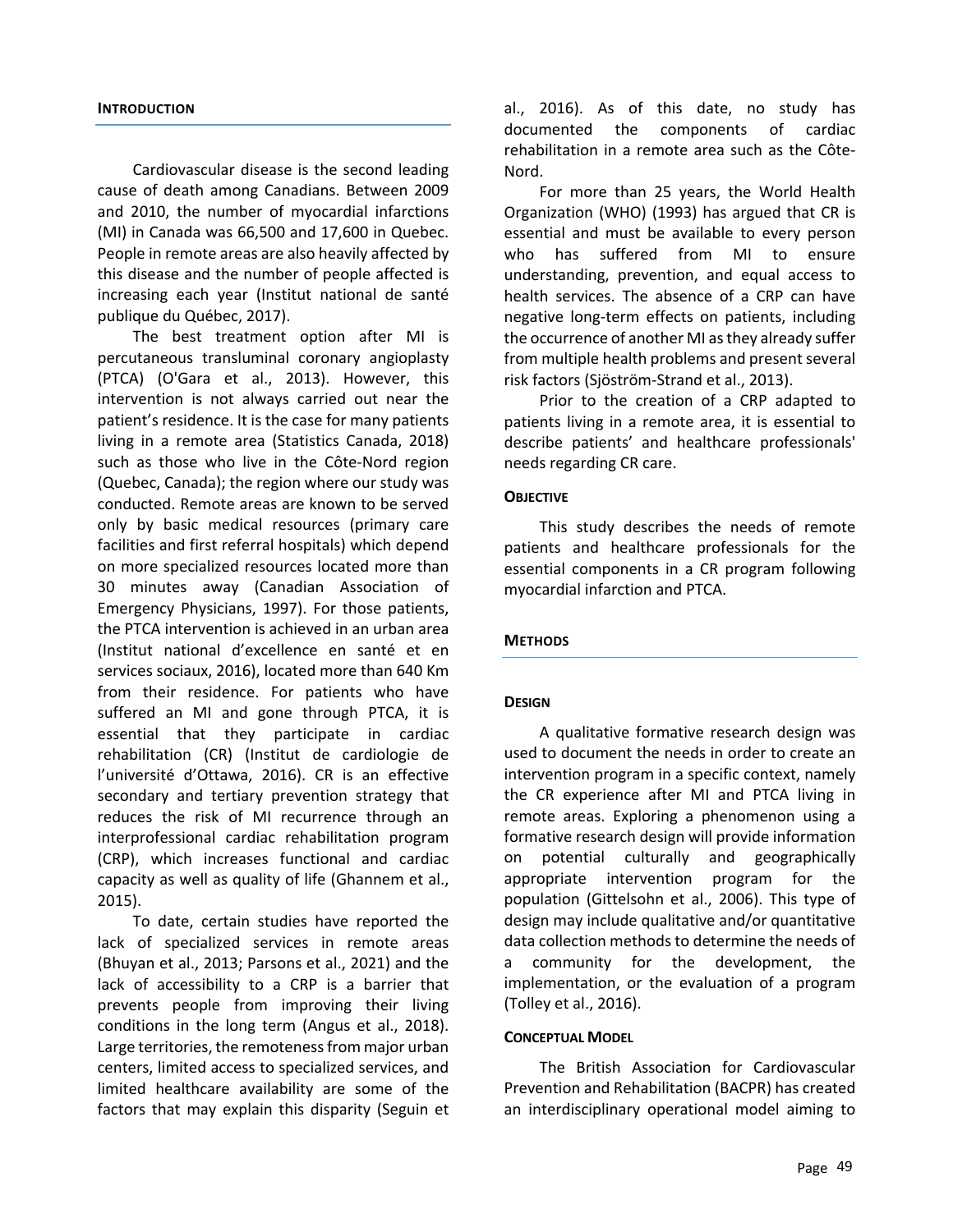#### **INTRODUCTION**

Cardiovascular disease is the second leading cause of death among Canadians. Between 2009 and 2010, the number of myocardial infarctions (MI) in Canada was 66,500 and 17,600 in Quebec. People in remote areas are also heavily affected by this disease and the number of people affected is increasing each year (Institut national de santé publique du Québec, 2017).

The best treatment option after MI is percutaneous transluminal coronary angioplasty (PTCA) (O'Gara et al., 2013). However, this intervention is not always carried out near the patient's residence. It is the case for many patients living in a remote area (Statistics Canada, 2018) such as those who live in the Côte-Nord region (Quebec, Canada); the region where our study was conducted. Remote areas are known to be served only by basic medical resources (primary care facilities and first referral hospitals) which depend on more specialized resources located more than 30 minutes away (Canadian Association of Emergency Physicians, 1997). For those patients, the PTCA intervention is achieved in an urban area (Institut national d'excellence en santé et en services sociaux, 2016), located more than 640 Km from their residence. For patients who have suffered an MI and gone through PTCA, it is essential that they participate in cardiac rehabilitation (CR) (Institut de cardiologie de l'université d'Ottawa, 2016). CR is an effective secondary and tertiary prevention strategy that reduces the risk of MI recurrence through an interprofessional cardiac rehabilitation program (CRP), which increases functional and cardiac capacity as well as quality of life (Ghannem et al., 2015).

To date, certain studies have reported the lack of specialized services in remote areas (Bhuyan et al., 2013; Parsons et al., 2021) and the lack of accessibility to a CRP is a barrier that prevents people from improving their living conditions in the long term (Angus et al., 2018). Large territories, the remoteness from major urban centers, limited access to specialized services, and limited healthcare availability are some of the factors that may explain this disparity (Seguin et al., 2016). As of this date, no study has documented the components of cardiac rehabilitation in a remote area such as the Côte-Nord.

For more than 25 years, the World Health Organization (WHO) (1993) has argued that CR is essential and must be available to every person who has suffered from MI to ensure understanding, prevention, and equal access to health services. The absence of a CRP can have negative long-term effects on patients, including the occurrence of another MI as they already suffer from multiple health problems and present several risk factors (Sjöström-Strand et al., 2013).

Prior to the creation of a CRP adapted to patients living in a remote area, it is essential to describe patients' and healthcare professionals' needs regarding CR care.

#### **OBJECTIVE**

This study describes the needs of remote patients and healthcare professionals for the essential components in a CR program following myocardial infarction and PTCA.

#### **METHODS**

#### **DESIGN**

A qualitative formative research design was used to document the needs in order to create an intervention program in a specific context, namely the CR experience after MI and PTCA living in remote areas. Exploring a phenomenon using a formative research design will provide information on potential culturally and geographically appropriate intervention program for the population (Gittelsohn et al., 2006). This type of design may include qualitative and/or quantitative data collection methods to determine the needs of a community for the development, the implementation, or the evaluation of a program (Tolley et al., 2016).

#### **CONCEPTUAL MODEL**

The British Association for Cardiovascular Prevention and Rehabilitation (BACPR) has created an interdisciplinary operational model aiming to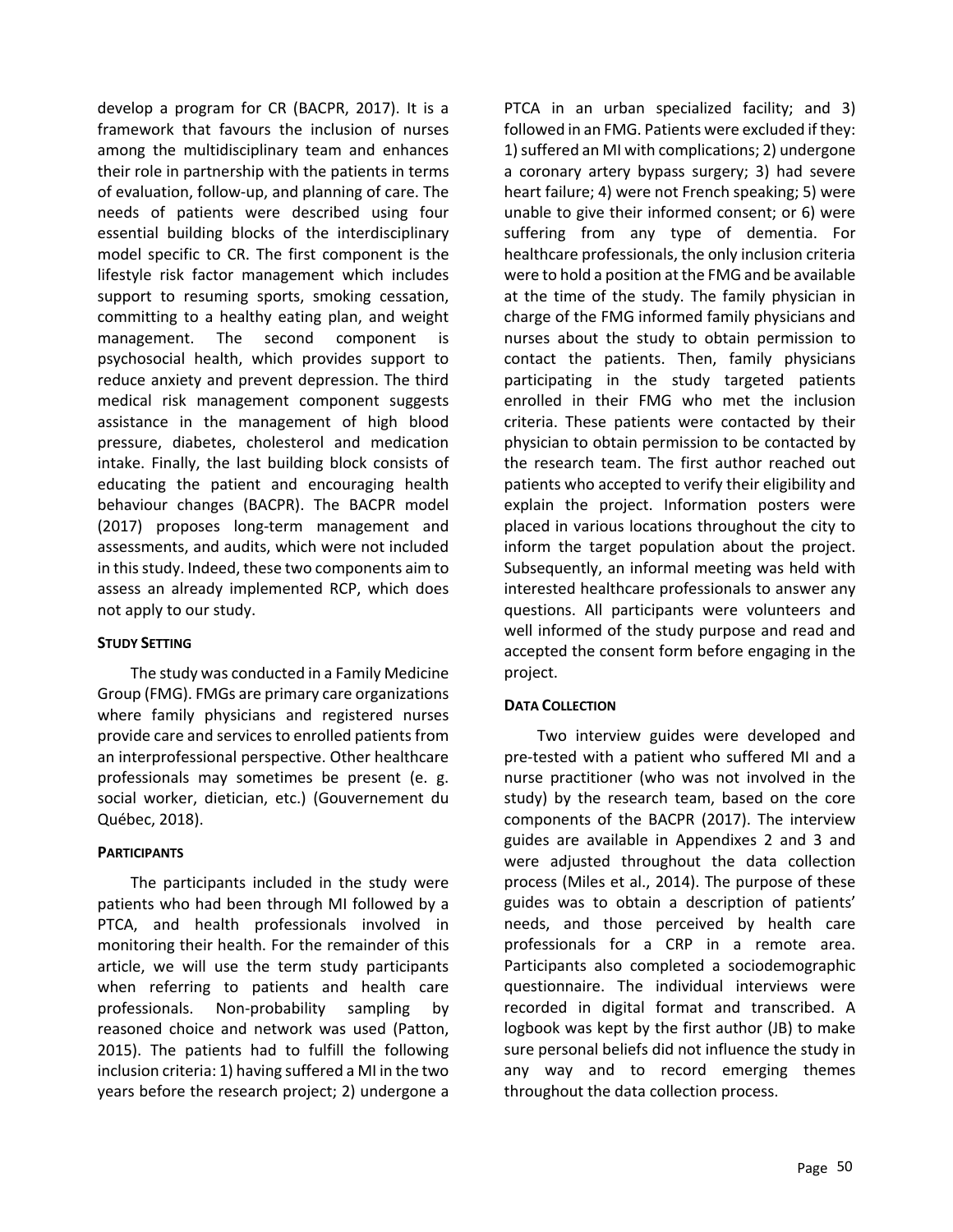develop a program for CR (BACPR, 2017). It is a framework that favours the inclusion of nurses among the multidisciplinary team and enhances their role in partnership with the patients in terms of evaluation, follow-up, and planning of care. The needs of patients were described using four essential building blocks of the interdisciplinary model specific to CR. The first component is the lifestyle risk factor management which includes support to resuming sports, smoking cessation, committing to a healthy eating plan, and weight management. The second component is psychosocial health, which provides support to reduce anxiety and prevent depression. The third medical risk management component suggests assistance in the management of high blood pressure, diabetes, cholesterol and medication intake. Finally, the last building block consists of educating the patient and encouraging health behaviour changes (BACPR). The BACPR model (2017) proposes long-term management and assessments, and audits, which were not included in this study. Indeed, these two components aim to assess an already implemented RCP, which does not apply to our study.

## **STUDY SETTING**

The study was conducted in a Family Medicine Group (FMG). FMGs are primary care organizations where family physicians and registered nurses provide care and services to enrolled patients from an interprofessional perspective. Other healthcare professionals may sometimes be present (e. g. social worker, dietician, etc.) (Gouvernement du Québec, 2018).

## **PARTICIPANTS**

The participants included in the study were patients who had been through MI followed by a PTCA, and health professionals involved in monitoring their health. For the remainder of this article, we will use the term study participants when referring to patients and health care professionals. Non-probability sampling by reasoned choice and network was used (Patton, 2015). The patients had to fulfill the following inclusion criteria: 1) having suffered a MI in the two years before the research project; 2) undergone a

PTCA in an urban specialized facility; and 3) followed in an FMG. Patients were excluded if they: 1) suffered an MI with complications; 2) undergone a coronary artery bypass surgery; 3) had severe heart failure; 4) were not French speaking; 5) were unable to give their informed consent; or 6) were suffering from any type of dementia. For healthcare professionals, the only inclusion criteria were to hold a position at the FMG and be available at the time of the study. The family physician in charge of the FMG informed family physicians and nurses about the study to obtain permission to contact the patients. Then, family physicians participating in the study targeted patients enrolled in their FMG who met the inclusion criteria. These patients were contacted by their physician to obtain permission to be contacted by the research team. The first author reached out patients who accepted to verify their eligibility and explain the project. Information posters were placed in various locations throughout the city to inform the target population about the project. Subsequently, an informal meeting was held with interested healthcare professionals to answer any questions. All participants were volunteers and well informed of the study purpose and read and accepted the consent form before engaging in the project.

#### **DATA COLLECTION**

Two interview guides were developed and pre-tested with a patient who suffered MI and a nurse practitioner (who was not involved in the study) by the research team, based on the core components of the BACPR (2017). The interview guides are available in Appendixes 2 and 3 and were adjusted throughout the data collection process (Miles et al., 2014). The purpose of these guides was to obtain a description of patients' needs, and those perceived by health care professionals for a CRP in a remote area. Participants also completed a sociodemographic questionnaire. The individual interviews were recorded in digital format and transcribed. A logbook was kept by the first author (JB) to make sure personal beliefs did not influence the study in any way and to record emerging themes throughout the data collection process.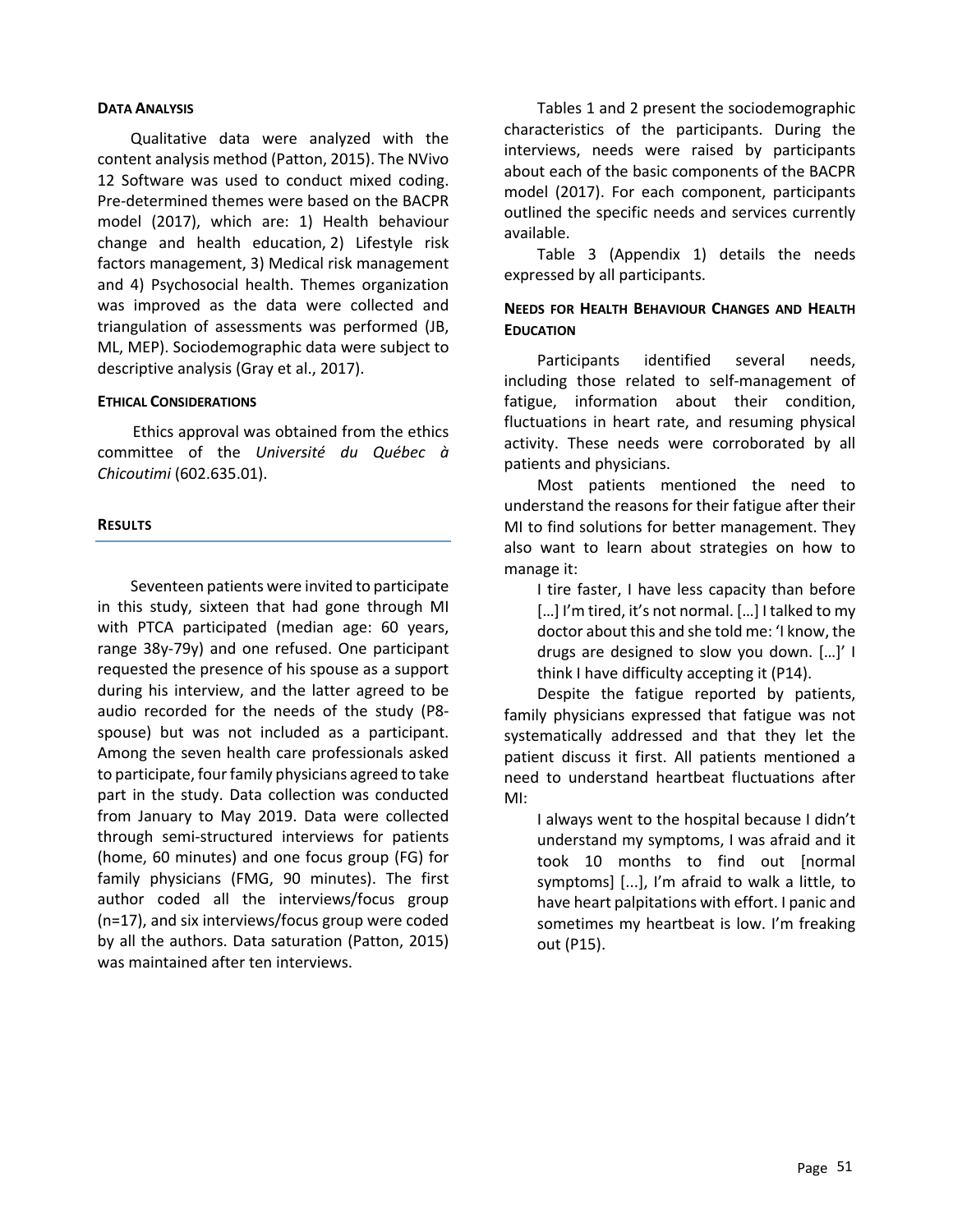#### **DATA ANALYSIS**

Qualitative data were analyzed with the content analysis method (Patton, 2015). The NVivo 12 Software was used to conduct mixed coding. Pre-determined themes were based on the BACPR model (2017), which are: 1) Health behaviour change and health education, 2) Lifestyle risk factors management, 3) Medical risk management and 4) Psychosocial health. Themes organization was improved as the data were collected and triangulation of assessments was performed (JB, ML, MEP). Sociodemographic data were subject to descriptive analysis (Gray et al., 2017).

#### **ETHICAL CONSIDERATIONS**

Ethics approval was obtained from the ethics committee of the *Université du Québec à Chicoutimi* (602.635.01).

#### **RESULTS**

Seventeen patients were invited to participate in this study, sixteen that had gone through MI with PTCA participated (median age: 60 years, range 38y-79y) and one refused. One participant requested the presence of his spouse as a support during his interview, and the latter agreed to be audio recorded for the needs of the study (P8 spouse) but was not included as a participant. Among the seven health care professionals asked to participate, four family physicians agreed to take part in the study. Data collection was conducted from January to May 2019. Data were collected through semi-structured interviews for patients (home, 60 minutes) and one focus group (FG) for family physicians (FMG, 90 minutes). The first author coded all the interviews/focus group (n=17), and six interviews/focus group were coded by all the authors. Data saturation (Patton, 2015) was maintained after ten interviews.

Tables 1 and 2 present the sociodemographic characteristics of the participants. During the interviews, needs were raised by participants about each of the basic components of the BACPR model (2017). For each component, participants outlined the specific needs and services currently available.

Table 3 (Appendix 1) details the needs expressed by all participants.

## **NEEDS FOR HEALTH BEHAVIOUR CHANGES AND HEALTH EDUCATION**

Participants identified several needs, including those related to self-management of fatigue, information about their condition, fluctuations in heart rate, and resuming physical activity. These needs were corroborated by all patients and physicians.

Most patients mentioned the need to understand the reasons for their fatigue after their MI to find solutions for better management. They also want to learn about strategies on how to manage it:

I tire faster, I have less capacity than before [...] I'm tired, it's not normal. [...] I talked to my doctor about this and she told me: 'I know, the drugs are designed to slow you down. […]' I think I have difficulty accepting it (P14).

Despite the fatigue reported by patients, family physicians expressed that fatigue was not systematically addressed and that they let the patient discuss it first. All patients mentioned a need to understand heartbeat fluctuations after MI:

I always went to the hospital because I didn't understand my symptoms, I was afraid and it took 10 months to find out [normal symptoms] [...], I'm afraid to walk a little, to have heart palpitations with effort. I panic and sometimes my heartbeat is low. I'm freaking out (P15).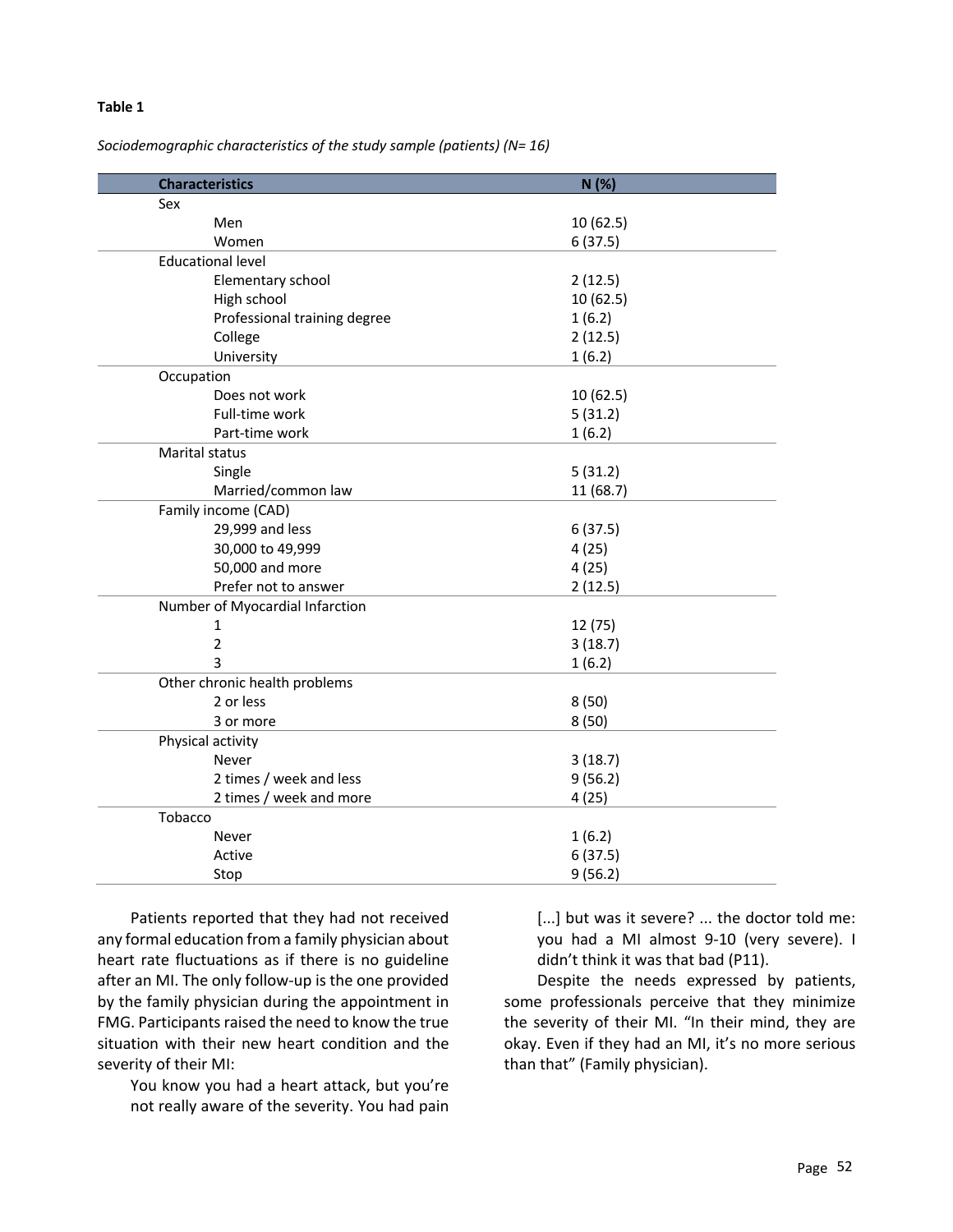#### **Table 1**

#### *Sociodemographic characteristics of the study sample (patients) (N= 16)*

| <b>Characteristics</b>          | N(%)      |  |  |  |
|---------------------------------|-----------|--|--|--|
| Sex                             |           |  |  |  |
| Men                             | 10 (62.5) |  |  |  |
| Women                           | 6(37.5)   |  |  |  |
| <b>Educational level</b>        |           |  |  |  |
| Elementary school               | 2(12.5)   |  |  |  |
| High school                     | 10 (62.5) |  |  |  |
| Professional training degree    | 1(6.2)    |  |  |  |
| College                         | 2(12.5)   |  |  |  |
| University                      | 1(6.2)    |  |  |  |
| Occupation                      |           |  |  |  |
| Does not work                   | 10 (62.5) |  |  |  |
| Full-time work                  | 5(31.2)   |  |  |  |
| Part-time work                  | 1(6.2)    |  |  |  |
| Marital status                  |           |  |  |  |
| Single                          | 5(31.2)   |  |  |  |
| Married/common law              | 11 (68.7) |  |  |  |
| Family income (CAD)             |           |  |  |  |
| 29,999 and less                 | 6(37.5)   |  |  |  |
| 30,000 to 49,999                | 4(25)     |  |  |  |
| 50,000 and more                 | 4(25)     |  |  |  |
| Prefer not to answer            | 2(12.5)   |  |  |  |
| Number of Myocardial Infarction |           |  |  |  |
| 1                               | 12 (75)   |  |  |  |
| $\overline{2}$                  | 3(18.7)   |  |  |  |
| 3                               | 1(6.2)    |  |  |  |
| Other chronic health problems   |           |  |  |  |
| 2 or less                       | 8(50)     |  |  |  |
| 3 or more                       | 8(50)     |  |  |  |
| Physical activity               |           |  |  |  |
| Never                           | 3(18.7)   |  |  |  |
| 2 times / week and less         | 9(56.2)   |  |  |  |
| 2 times / week and more         | 4(25)     |  |  |  |
| Tobacco                         |           |  |  |  |
| Never                           | 1(6.2)    |  |  |  |
| Active                          | 6(37.5)   |  |  |  |
| Stop                            | 9(56.2)   |  |  |  |

Patients reported that they had not received any formal education from a family physician about heart rate fluctuations as if there is no guideline after an MI. The only follow-up is the one provided by the family physician during the appointment in FMG. Participants raised the need to know the true situation with their new heart condition and the severity of their MI:

You know you had a heart attack, but you're not really aware of the severity. You had pain

[...] but was it severe? ... the doctor told me: you had a MI almost 9-10 (very severe). I didn't think it was that bad (P11).

Despite the needs expressed by patients, some professionals perceive that they minimize the severity of their MI. "In their mind, they are okay. Even if they had an MI, it's no more serious than that" (Family physician).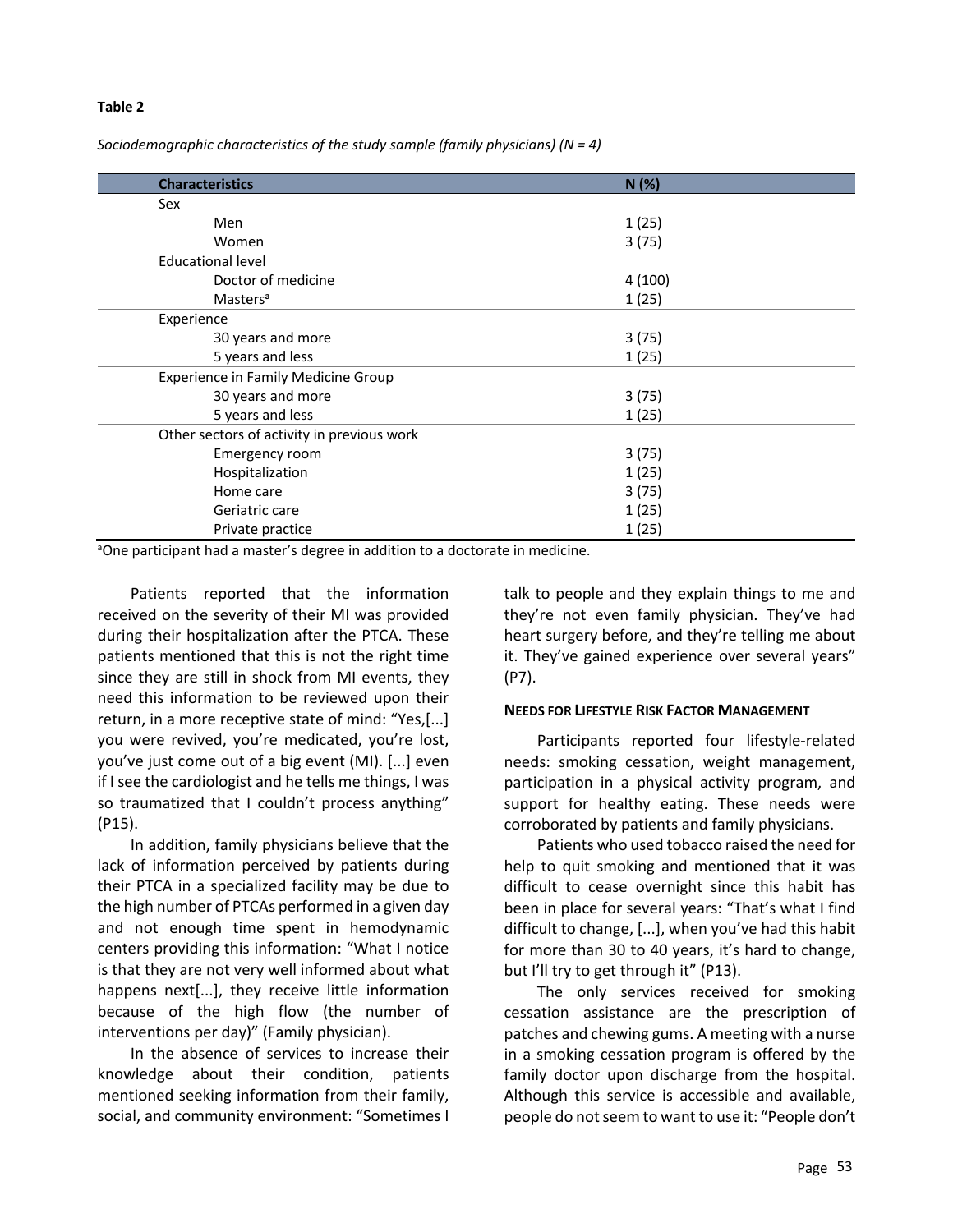#### **Table 2**

*Sociodemographic characteristics of the study sample (family physicians) (N = 4)*

| <b>Characteristics</b>                     | N (%)  |  |  |  |
|--------------------------------------------|--------|--|--|--|
| Sex                                        |        |  |  |  |
| Men                                        | 1(25)  |  |  |  |
| Women                                      | 3(75)  |  |  |  |
| <b>Educational level</b>                   |        |  |  |  |
| Doctor of medicine                         | 4(100) |  |  |  |
| Masters <sup>a</sup>                       | 1(25)  |  |  |  |
| Experience                                 |        |  |  |  |
| 30 years and more                          | 3(75)  |  |  |  |
| 5 years and less                           | 1(25)  |  |  |  |
| Experience in Family Medicine Group        |        |  |  |  |
| 30 years and more                          | 3(75)  |  |  |  |
| 5 years and less                           | 1(25)  |  |  |  |
| Other sectors of activity in previous work |        |  |  |  |
| Emergency room                             | 3(75)  |  |  |  |
| Hospitalization                            | 1(25)  |  |  |  |
| Home care                                  | 3(75)  |  |  |  |
| Geriatric care                             | 1(25)  |  |  |  |
| Private practice                           | 1(25)  |  |  |  |

<sup>a</sup>One participant had a master's degree in addition to a doctorate in medicine.

Patients reported that the information received on the severity of their MI was provided during their hospitalization after the PTCA. These patients mentioned that this is not the right time since they are still in shock from MI events, they need this information to be reviewed upon their return, in a more receptive state of mind: "Yes,[...] you were revived, you're medicated, you're lost, you've just come out of a big event (MI). [...] even if I see the cardiologist and he tells me things, I was so traumatized that I couldn't process anything" (P15).

In addition, family physicians believe that the lack of information perceived by patients during their PTCA in a specialized facility may be due to the high number of PTCAs performed in a given day and not enough time spent in hemodynamic centers providing this information: "What I notice is that they are not very well informed about what happens next[...], they receive little information because of the high flow (the number of interventions per day)" (Family physician).

In the absence of services to increase their knowledge about their condition, patients mentioned seeking information from their family, social, and community environment: "Sometimes I talk to people and they explain things to me and they're not even family physician. They've had heart surgery before, and they're telling me about it. They've gained experience over several years" (P7).

#### **NEEDS FOR LIFESTYLE RISK FACTOR MANAGEMENT**

Participants reported four lifestyle-related needs: smoking cessation, weight management, participation in a physical activity program, and support for healthy eating. These needs were corroborated by patients and family physicians.

Patients who used tobacco raised the need for help to quit smoking and mentioned that it was difficult to cease overnight since this habit has been in place for several years: "That's what I find difficult to change, [...], when you've had this habit for more than 30 to 40 years, it's hard to change, but I'll try to get through it" (P13).

The only services received for smoking cessation assistance are the prescription of patches and chewing gums. A meeting with a nurse in a smoking cessation program is offered by the family doctor upon discharge from the hospital. Although this service is accessible and available, people do not seem to want to use it: "People don't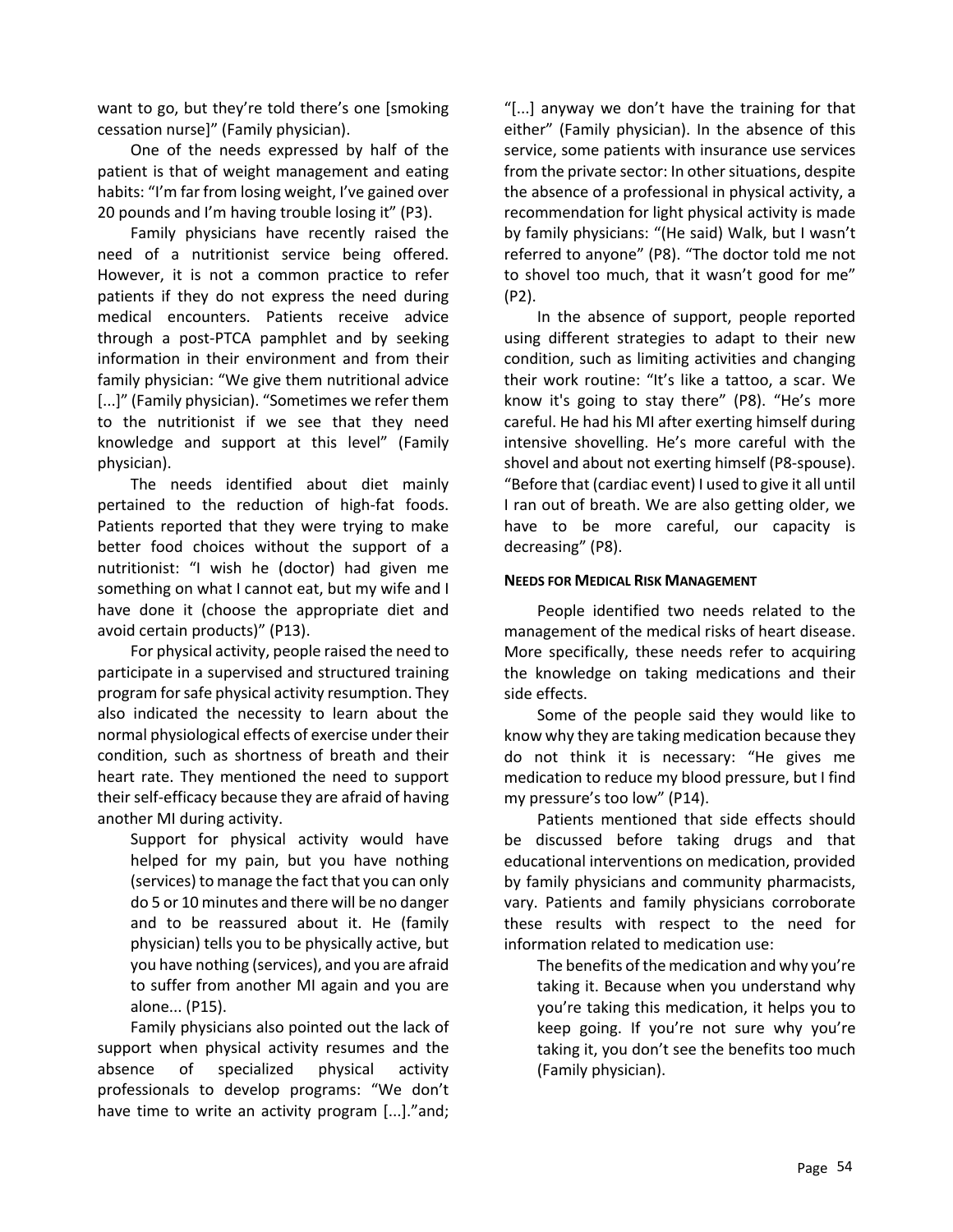want to go, but they're told there's one [smoking cessation nurse]" (Family physician).

One of the needs expressed by half of the patient is that of weight management and eating habits: "I'm far from losing weight, I've gained over 20 pounds and I'm having trouble losing it" (P3).

Family physicians have recently raised the need of a nutritionist service being offered. However, it is not a common practice to refer patients if they do not express the need during medical encounters. Patients receive advice through a post-PTCA pamphlet and by seeking information in their environment and from their family physician: "We give them nutritional advice [...]" (Family physician). "Sometimes we refer them to the nutritionist if we see that they need knowledge and support at this level" (Family physician).

The needs identified about diet mainly pertained to the reduction of high-fat foods. Patients reported that they were trying to make better food choices without the support of a nutritionist: "I wish he (doctor) had given me something on what I cannot eat, but my wife and I have done it (choose the appropriate diet and avoid certain products)" (P13).

For physical activity, people raised the need to participate in a supervised and structured training program for safe physical activity resumption. They also indicated the necessity to learn about the normal physiological effects of exercise under their condition, such as shortness of breath and their heart rate. They mentioned the need to support their self-efficacy because they are afraid of having another MI during activity.

Support for physical activity would have helped for my pain, but you have nothing (services) to manage the fact that you can only do 5 or 10 minutes and there will be no danger and to be reassured about it. He (family physician) tells you to be physically active, but you have nothing (services), and you are afraid to suffer from another MI again and you are alone... (P15).

Family physicians also pointed out the lack of support when physical activity resumes and the absence of specialized physical activity professionals to develop programs: "We don't have time to write an activity program [...]."and;

"[...] anyway we don't have the training for that either" (Family physician). In the absence of this service, some patients with insurance use services from the private sector: In other situations, despite the absence of a professional in physical activity, a recommendation for light physical activity is made by family physicians: "(He said) Walk, but I wasn't referred to anyone" (P8). "The doctor told me not to shovel too much, that it wasn't good for me" (P2).

In the absence of support, people reported using different strategies to adapt to their new condition, such as limiting activities and changing their work routine: "It's like a tattoo, a scar. We know it's going to stay there" (P8). "He's more careful. He had his MI after exerting himself during intensive shovelling. He's more careful with the shovel and about not exerting himself (P8-spouse). "Before that (cardiac event) I used to give it all until I ran out of breath. We are also getting older, we have to be more careful, our capacity is decreasing" (P8).

#### **NEEDS FOR MEDICAL RISK MANAGEMENT**

People identified two needs related to the management of the medical risks of heart disease. More specifically, these needs refer to acquiring the knowledge on taking medications and their side effects.

Some of the people said they would like to know why they are taking medication because they do not think it is necessary: "He gives me medication to reduce my blood pressure, but I find my pressure's too low" (P14).

Patients mentioned that side effects should be discussed before taking drugs and that educational interventions on medication, provided by family physicians and community pharmacists, vary. Patients and family physicians corroborate these results with respect to the need for information related to medication use:

The benefits of the medication and why you're taking it. Because when you understand why you're taking this medication, it helps you to keep going. If you're not sure why you're taking it, you don't see the benefits too much (Family physician).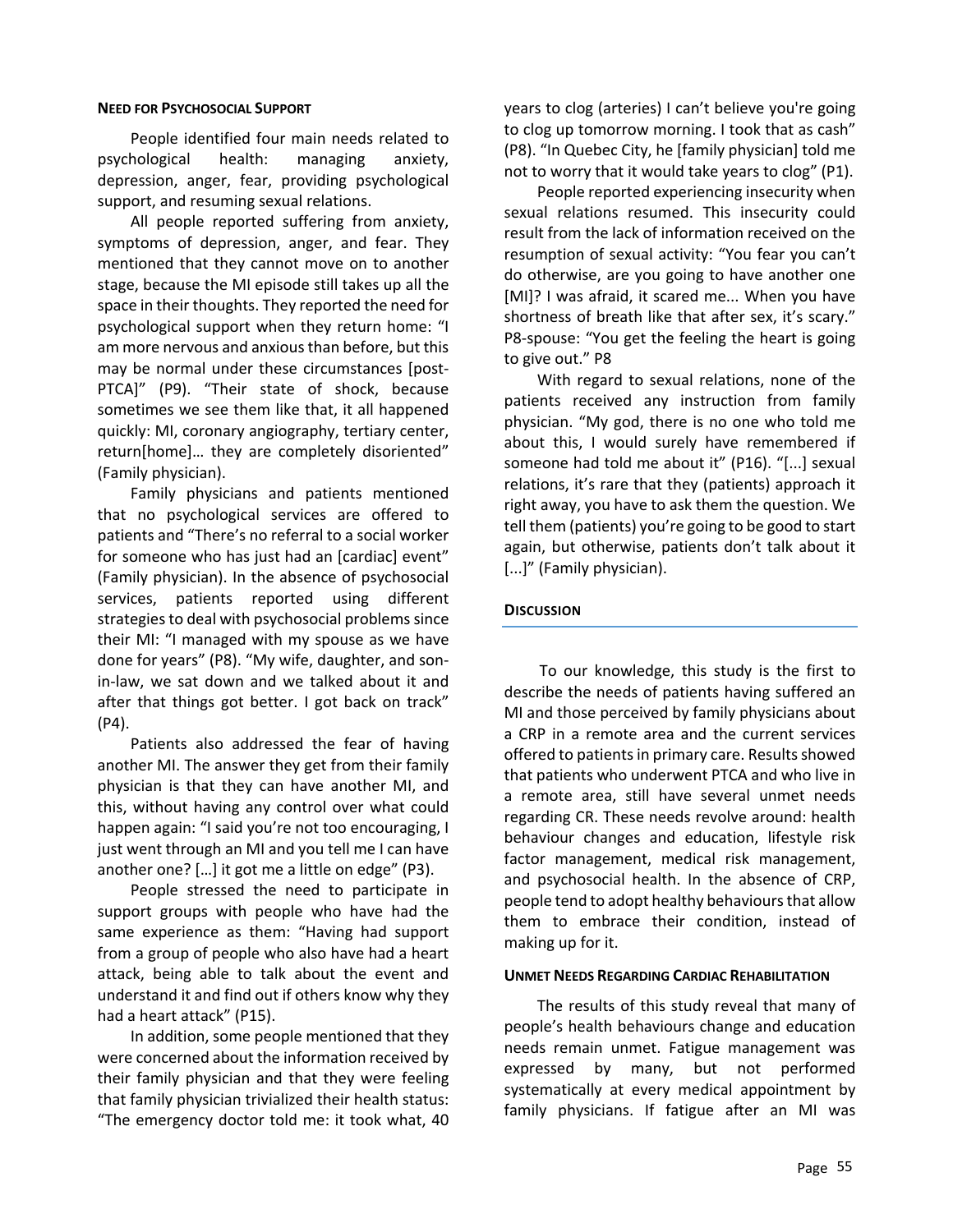#### **NEED FOR PSYCHOSOCIAL SUPPORT**

People identified four main needs related to psychological health: managing anxiety, depression, anger, fear, providing psychological support, and resuming sexual relations.

All people reported suffering from anxiety, symptoms of depression, anger, and fear. They mentioned that they cannot move on to another stage, because the MI episode still takes up all the space in their thoughts. They reported the need for psychological support when they return home: "I am more nervous and anxious than before, but this may be normal under these circumstances [post-PTCA]" (P9). "Their state of shock, because sometimes we see them like that, it all happened quickly: MI, coronary angiography, tertiary center, return[home]… they are completely disoriented" (Family physician).

Family physicians and patients mentioned that no psychological services are offered to patients and "There's no referral to a social worker for someone who has just had an [cardiac] event" (Family physician). In the absence of psychosocial services, patients reported using different strategies to deal with psychosocial problems since their MI: "I managed with my spouse as we have done for years" (P8). "My wife, daughter, and sonin-law, we sat down and we talked about it and after that things got better. I got back on track" (P4).

Patients also addressed the fear of having another MI. The answer they get from their family physician is that they can have another MI, and this, without having any control over what could happen again: "I said you're not too encouraging, I just went through an MI and you tell me I can have another one? […] it got me a little on edge" (P3).

People stressed the need to participate in support groups with people who have had the same experience as them: "Having had support from a group of people who also have had a heart attack, being able to talk about the event and understand it and find out if others know why they had a heart attack" (P15).

In addition, some people mentioned that they were concerned about the information received by their family physician and that they were feeling that family physician trivialized their health status: "The emergency doctor told me: it took what, 40

years to clog (arteries) I can't believe you're going to clog up tomorrow morning. I took that as cash" (P8). "In Quebec City, he [family physician] told me not to worry that it would take years to clog" (P1).

People reported experiencing insecurity when sexual relations resumed. This insecurity could result from the lack of information received on the resumption of sexual activity: "You fear you can't do otherwise, are you going to have another one [MI]? I was afraid, it scared me... When you have shortness of breath like that after sex, it's scary." P8-spouse: "You get the feeling the heart is going to give out." P8

With regard to sexual relations, none of the patients received any instruction from family physician. "My god, there is no one who told me about this, I would surely have remembered if someone had told me about it" (P16). "[...] sexual relations, it's rare that they (patients) approach it right away, you have to ask them the question. We tell them (patients) you're going to be good to start again, but otherwise, patients don't talk about it [...]" (Family physician).

#### **DISCUSSION**

To our knowledge, this study is the first to describe the needs of patients having suffered an MI and those perceived by family physicians about a CRP in a remote area and the current services offered to patients in primary care. Results showed that patients who underwent PTCA and who live in a remote area, still have several unmet needs regarding CR. These needs revolve around: health behaviour changes and education, lifestyle risk factor management, medical risk management, and psychosocial health. In the absence of CRP, people tend to adopt healthy behaviours that allow them to embrace their condition, instead of making up for it.

#### **UNMET NEEDS REGARDING CARDIAC REHABILITATION**

The results of this study reveal that many of people's health behaviours change and education needs remain unmet. Fatigue management was expressed by many, but not performed systematically at every medical appointment by family physicians. If fatigue after an MI was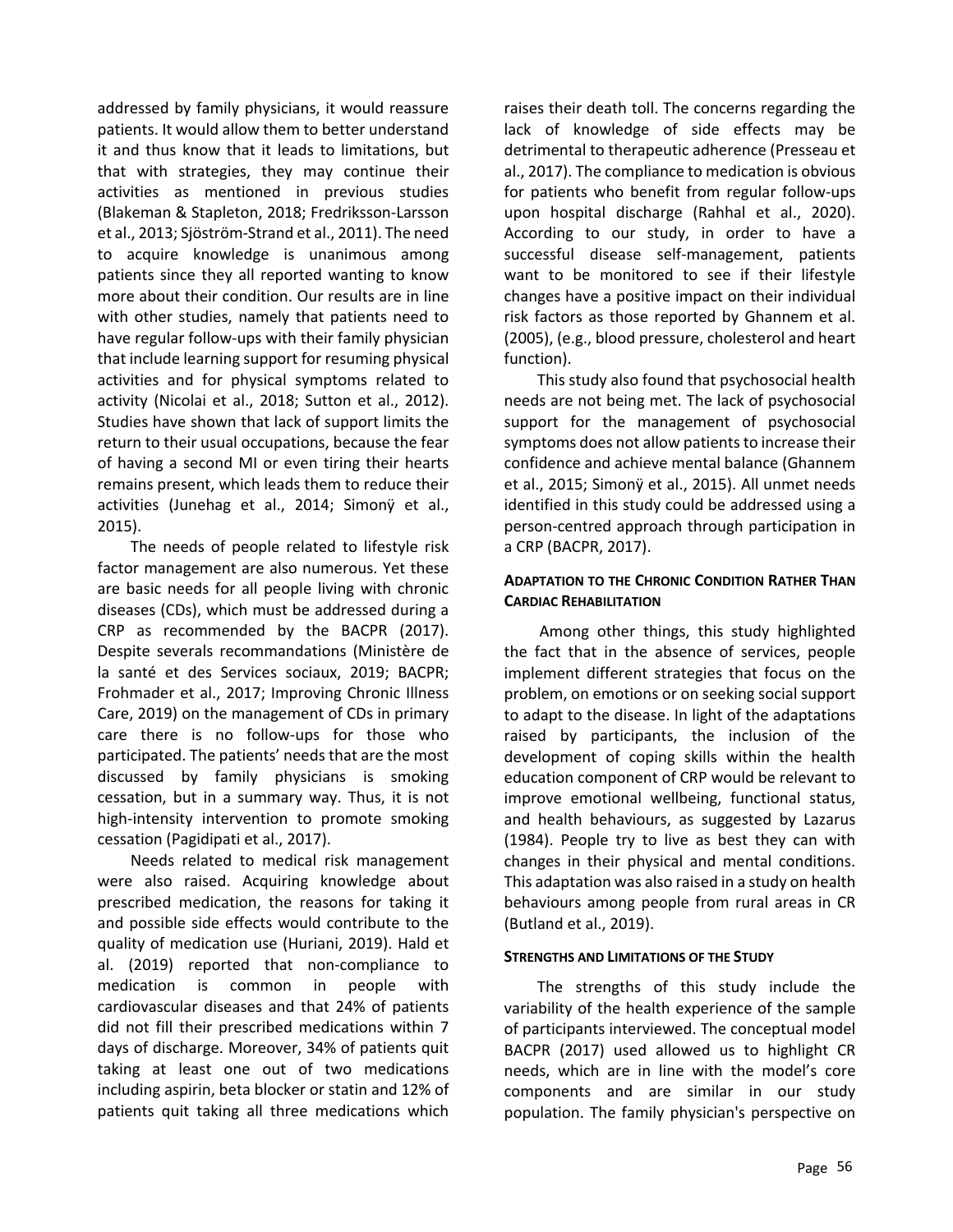addressed by family physicians, it would reassure patients. It would allow them to better understand it and thus know that it leads to limitations, but that with strategies, they may continue their activities as mentioned in previous studies (Blakeman & Stapleton, 2018; Fredriksson-Larsson et al., 2013; Sjöström-Strand et al., 2011). The need to acquire knowledge is unanimous among patients since they all reported wanting to know more about their condition. Our results are in line with other studies, namely that patients need to have regular follow-ups with their family physician that include learning support for resuming physical activities and for physical symptoms related to activity (Nicolai et al., 2018; Sutton et al., 2012). Studies have shown that lack of support limits the return to their usual occupations, because the fear of having a second MI or even tiring their hearts remains present, which leads them to reduce their activities (Junehag et al., 2014; Simonÿ et al., 2015).

The needs of people related to lifestyle risk factor management are also numerous. Yet these are basic needs for all people living with chronic diseases (CDs), which must be addressed during a CRP as recommended by the BACPR (2017). Despite severals recommandations (Ministère de la santé et des Services sociaux, 2019; BACPR; Frohmader et al., 2017; Improving Chronic Illness Care, 2019) on the management of CDs in primary care there is no follow-ups for those who participated. The patients' needs that are the most discussed by family physicians is smoking cessation, but in a summary way. Thus, it is not high-intensity intervention to promote smoking cessation (Pagidipati et al., 2017).

Needs related to medical risk management were also raised. Acquiring knowledge about prescribed medication, the reasons for taking it and possible side effects would contribute to the quality of medication use (Huriani, 2019). Hald et al. (2019) reported that non-compliance to medication is common in people with cardiovascular diseases and that 24% of patients did not fill their prescribed medications within 7 days of discharge. Moreover, 34% of patients quit taking at least one out of two medications including aspirin, beta blocker or statin and 12% of patients quit taking all three medications which

raises their death toll. The concerns regarding the lack of knowledge of side effects may be detrimental to therapeutic adherence (Presseau et al., 2017). The compliance to medication is obvious for patients who benefit from regular follow-ups upon hospital discharge (Rahhal et al., 2020). According to our study, in order to have a successful disease self-management, patients want to be monitored to see if their lifestyle changes have a positive impact on their individual risk factors as those reported by Ghannem et al. (2005), (e.g., blood pressure, cholesterol and heart function).

This study also found that psychosocial health needs are not being met. The lack of psychosocial support for the management of psychosocial symptoms does not allow patients to increase their confidence and achieve mental balance (Ghannem et al., 2015; Simonÿ et al., 2015). All unmet needs identified in this study could be addressed using a person-centred approach through participation in a CRP (BACPR, 2017).

## **ADAPTATION TO THE CHRONIC CONDITION RATHER THAN CARDIAC REHABILITATION**

Among other things, this study highlighted the fact that in the absence of services, people implement different strategies that focus on the problem, on emotions or on seeking social support to adapt to the disease. In light of the adaptations raised by participants, the inclusion of the development of coping skills within the health education component of CRP would be relevant to improve emotional wellbeing, functional status, and health behaviours, as suggested by Lazarus (1984). People try to live as best they can with changes in their physical and mental conditions. This adaptation was also raised in a study on health behaviours among people from rural areas in CR (Butland et al., 2019).

#### **STRENGTHS AND LIMITATIONS OF THE STUDY**

The strengths of this study include the variability of the health experience of the sample of participants interviewed. The conceptual model BACPR (2017) used allowed us to highlight CR needs, which are in line with the model's core components and are similar in our study population. The family physician's perspective on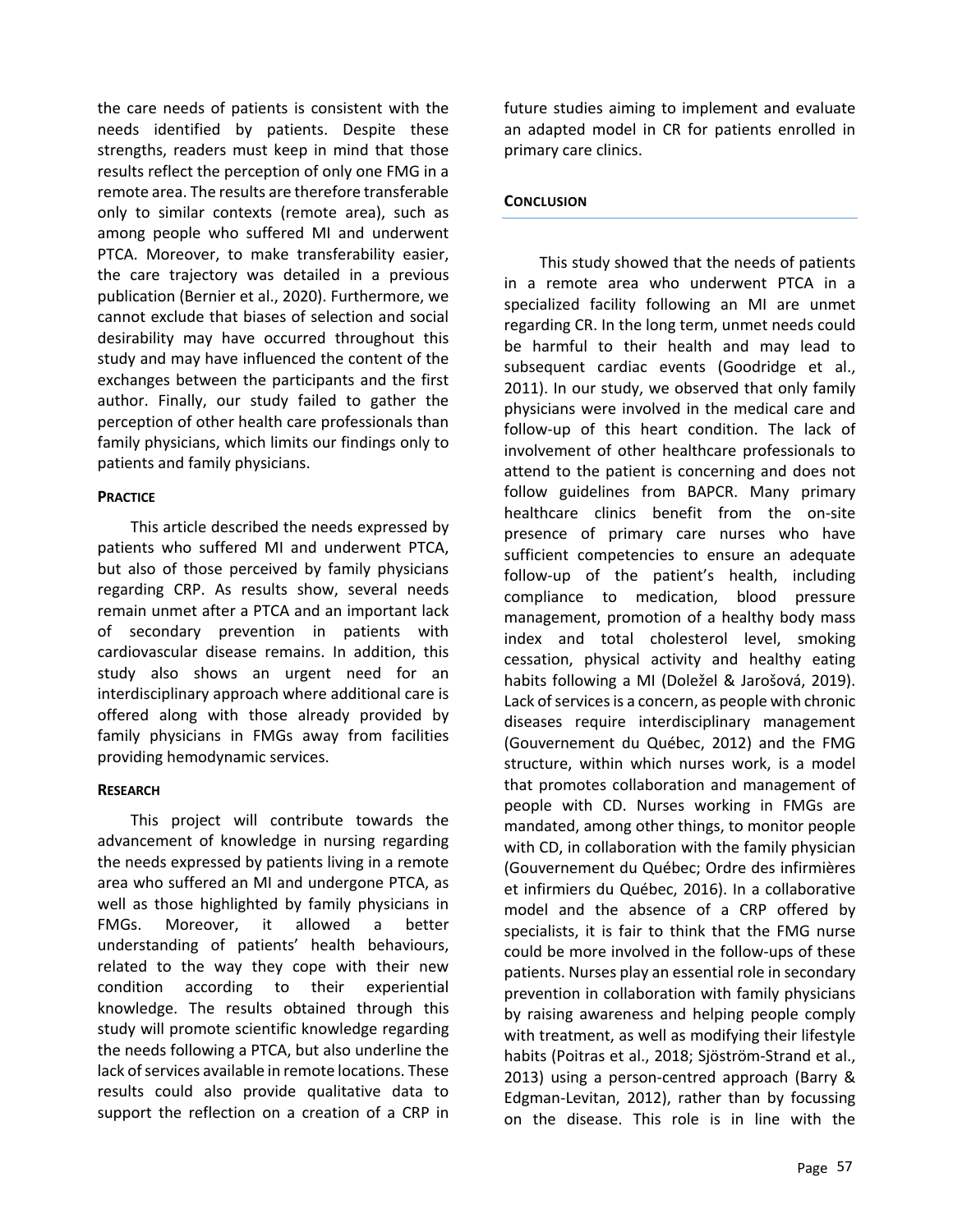the care needs of patients is consistent with the needs identified by patients. Despite these strengths, readers must keep in mind that those results reflect the perception of only one FMG in a remote area. The results are therefore transferable only to similar contexts (remote area), such as among people who suffered MI and underwent PTCA. Moreover, to make transferability easier, the care trajectory was detailed in a previous publication (Bernier et al., 2020). Furthermore, we cannot exclude that biases of selection and social desirability may have occurred throughout this study and may have influenced the content of the exchanges between the participants and the first author. Finally, our study failed to gather the perception of other health care professionals than family physicians, which limits our findings only to patients and family physicians.

## **PRACTICE**

This article described the needs expressed by patients who suffered MI and underwent PTCA, but also of those perceived by family physicians regarding CRP. As results show, several needs remain unmet after a PTCA and an important lack of secondary prevention in patients with cardiovascular disease remains. In addition, this study also shows an urgent need for an interdisciplinary approach where additional care is offered along with those already provided by family physicians in FMGs away from facilities providing hemodynamic services.

## **RESEARCH**

This project will contribute towards the advancement of knowledge in nursing regarding the needs expressed by patients living in a remote area who suffered an MI and undergone PTCA, as well as those highlighted by family physicians in FMGs. Moreover, it allowed a better understanding of patients' health behaviours, related to the way they cope with their new condition according to their experiential knowledge. The results obtained through this study will promote scientific knowledge regarding the needs following a PTCA, but also underline the lack of services available in remote locations. These results could also provide qualitative data to support the reflection on a creation of a CRP in future studies aiming to implement and evaluate an adapted model in CR for patients enrolled in primary care clinics.

#### **CONCLUSION**

This study showed that the needs of patients in a remote area who underwent PTCA in a specialized facility following an MI are unmet regarding CR. In the long term, unmet needs could be harmful to their health and may lead to subsequent cardiac events (Goodridge et al., 2011). In our study, we observed that only family physicians were involved in the medical care and follow-up of this heart condition. The lack of involvement of other healthcare professionals to attend to the patient is concerning and does not follow guidelines from BAPCR. Many primary healthcare clinics benefit from the on-site presence of primary care nurses who have sufficient competencies to ensure an adequate follow-up of the patient's health, including compliance to medication, blood pressure management, promotion of a healthy body mass index and total cholesterol level, smoking cessation, physical activity and healthy eating habits following a MI (Doležel & Jarošová, 2019). Lack of services is a concern, as people with chronic diseases require interdisciplinary management (Gouvernement du Québec, 2012) and the FMG structure, within which nurses work, is a model that promotes collaboration and management of people with CD. Nurses working in FMGs are mandated, among other things, to monitor people with CD, in collaboration with the family physician (Gouvernement du Québec; Ordre des infirmières et infirmiers du Québec, 2016). In a collaborative model and the absence of a CRP offered by specialists, it is fair to think that the FMG nurse could be more involved in the follow-ups of these patients. Nurses play an essential role in secondary prevention in collaboration with family physicians by raising awareness and helping people comply with treatment, as well as modifying their lifestyle habits (Poitras et al., 2018; Sjöström-Strand et al., 2013) using a person-centred approach (Barry & Edgman-Levitan, 2012), rather than by focussing on the disease. This role is in line with the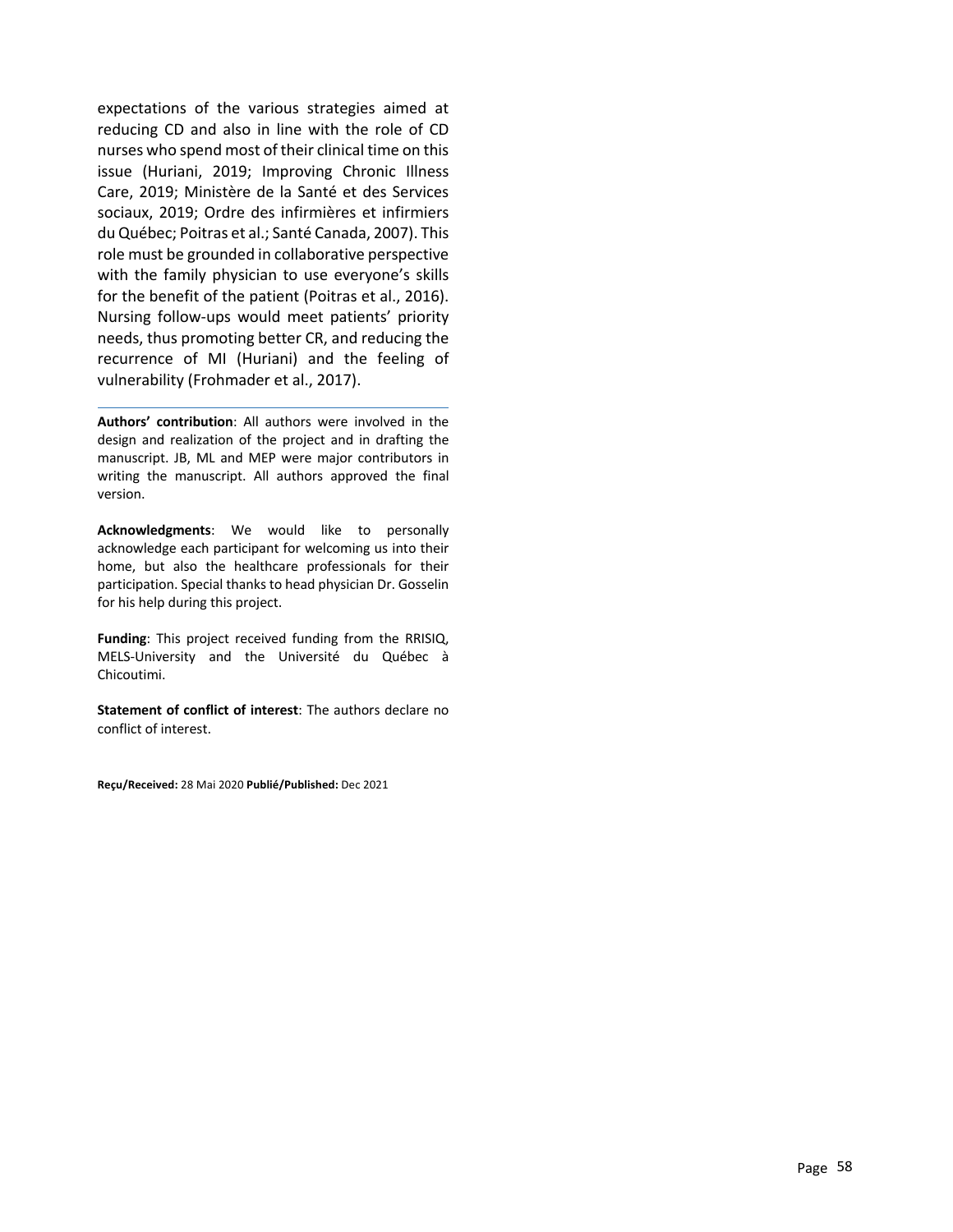expectations of the various strategies aimed at reducing CD and also in line with the role of CD nurses who spend most of their clinical time on this issue (Huriani, 2019; Improving Chronic Illness Care, 2019; Ministère de la Santé et des Services sociaux, 2019; Ordre des infirmières et infirmiers du Québec; Poitras et al.; Santé Canada, 2007). This role must be grounded in collaborative perspective with the family physician to use everyone's skills for the benefit of the patient (Poitras et al., 2016). Nursing follow-ups would meet patients' priority needs, thus promoting better CR, and reducing the recurrence of MI (Huriani) and the feeling of vulnerability (Frohmader et al., 2017).

**Authors' contribution**: All authors were involved in the design and realization of the project and in drafting the manuscript. JB, ML and MEP were major contributors in writing the manuscript. All authors approved the final version.

**Acknowledgments**: We would like to personally acknowledge each participant for welcoming us into their home, but also the healthcare professionals for their participation. Special thanks to head physician Dr. Gosselin for his help during this project.

**Funding**: This project received funding from the RRISIQ, MELS-University and the Université du Québec à Chicoutimi.

**Statement of conflict of interest**: The authors declare no conflict of interest.

**Reçu/Received:** 28 Mai 2020 **Publié/Published:** Dec 2021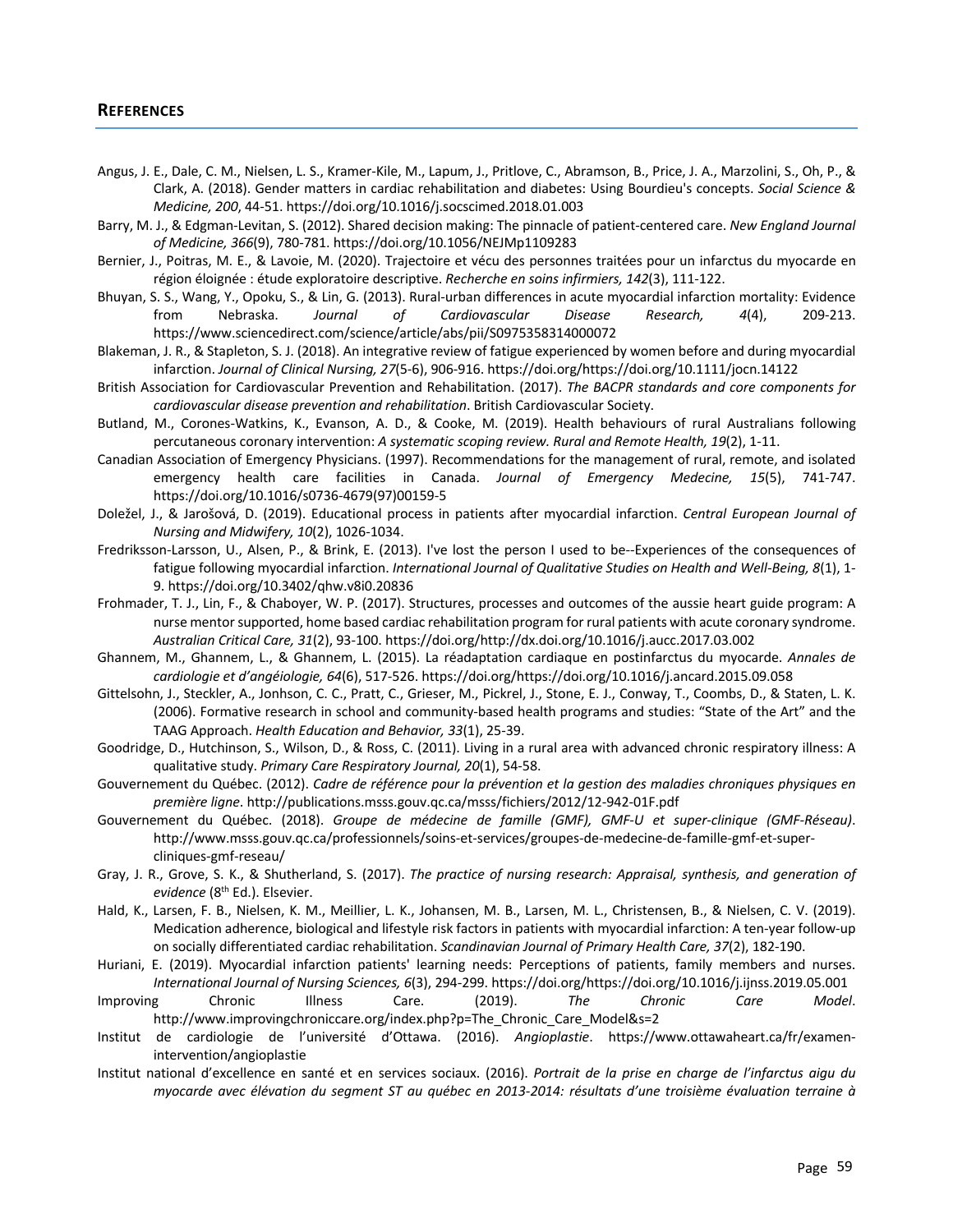- Angus, J. E., Dale, C. M., Nielsen, L. S., Kramer-Kile, M., Lapum, J., Pritlove, C., Abramson, B., Price, J. A., Marzolini, S., Oh, P., & Clark, A. (2018). Gender matters in cardiac rehabilitation and diabetes: Using Bourdieu's concepts. *Social Science & Medicine, 200*, 44-51. https://doi.org/10.1016/j.socscimed.2018.01.003
- Barry, M. J., & Edgman-Levitan, S. (2012). Shared decision making: The pinnacle of patient-centered care. *New England Journal of Medicine, 366*(9), 780-781. https://doi.org/10.1056/NEJMp1109283
- Bernier, J., Poitras, M. E., & Lavoie, M. (2020). Trajectoire et vécu des personnes traitées pour un infarctus du myocarde en région éloignée : étude exploratoire descriptive. *Recherche en soins infirmiers, 142*(3), 111-122.
- Bhuyan, S. S., Wang, Y., Opoku, S., & Lin, G. (2013). Rural-urban differences in acute myocardial infarction mortality: Evidence from Nebraska. *Journal of Cardiovascular Disease Research, 4*(4), 209-213. https://www.sciencedirect.com/science/article/abs/pii/S0975358314000072
- Blakeman, J. R., & Stapleton, S. J. (2018). An integrative review of fatigue experienced by women before and during myocardial infarction. *Journal of Clinical Nursing, 27*(5-6), 906-916. https://doi.org/https://doi.org/10.1111/jocn.14122
- British Association for Cardiovascular Prevention and Rehabilitation. (2017). *The BACPR standards and core components for cardiovascular disease prevention and rehabilitation*. British Cardiovascular Society.
- Butland, M., Corones-Watkins, K., Evanson, A. D., & Cooke, M. (2019). Health behaviours of rural Australians following percutaneous coronary intervention: *A systematic scoping review. Rural and Remote Health, 19*(2), 1-11.
- Canadian Association of Emergency Physicians. (1997). Recommendations for the management of rural, remote, and isolated emergency health care facilities in Canada. *Journal of Emergency Medecine, 15*(5), 741-747. https://doi.org/10.1016/s0736-4679(97)00159-5
- Doležel, J., & Jarošová, D. (2019). Educational process in patients after myocardial infarction. *Central European Journal of Nursing and Midwifery, 10*(2), 1026-1034.
- Fredriksson-Larsson, U., Alsen, P., & Brink, E. (2013). I've lost the person I used to be--Experiences of the consequences of fatigue following myocardial infarction. *International Journal of Qualitative Studies on Health and Well-Being, 8*(1), 1- 9. https://doi.org/10.3402/qhw.v8i0.20836
- Frohmader, T. J., Lin, F., & Chaboyer, W. P. (2017). Structures, processes and outcomes of the aussie heart guide program: A nurse mentor supported, home based cardiac rehabilitation program for rural patients with acute coronary syndrome. *Australian Critical Care, 31*(2), 93-100. https://doi.org/http://dx.doi.org/10.1016/j.aucc.2017.03.002
- Ghannem, M., Ghannem, L., & Ghannem, L. (2015). La réadaptation cardiaque en postinfarctus du myocarde. *Annales de cardiologie et d'angéiologie, 64*(6), 517-526. https://doi.org/https://doi.org/10.1016/j.ancard.2015.09.058
- Gittelsohn, J., Steckler, A., Jonhson, C. C., Pratt, C., Grieser, M., Pickrel, J., Stone, E. J., Conway, T., Coombs, D., & Staten, L. K. (2006). Formative research in school and community-based health programs and studies: "State of the Art" and the TAAG Approach. *Health Education and Behavior, 33*(1), 25-39.
- Goodridge, D., Hutchinson, S., Wilson, D., & Ross, C. (2011). Living in a rural area with advanced chronic respiratory illness: A qualitative study. *Primary Care Respiratory Journal, 20*(1), 54-58.
- Gouvernement du Québec. (2012). *Cadre de référence pour la prévention et la gestion des maladies chroniques physiques en première ligne*. http://publications.msss.gouv.qc.ca/msss/fichiers/2012/12-942-01F.pdf
- Gouvernement du Québec. (2018). *Groupe de médecine de famille (GMF), GMF-U et super-clinique (GMF-Réseau)*. http://www.msss.gouv.qc.ca/professionnels/soins-et-services/groupes-de-medecine-de-famille-gmf-et-supercliniques-gmf-reseau/
- Gray, J. R., Grove, S. K., & Shutherland, S. (2017). *The practice of nursing research: Appraisal, synthesis, and generation of evidence* (8th Ed.). Elsevier.
- Hald, K., Larsen, F. B., Nielsen, K. M., Meillier, L. K., Johansen, M. B., Larsen, M. L., Christensen, B., & Nielsen, C. V. (2019). Medication adherence, biological and lifestyle risk factors in patients with myocardial infarction: A ten-year follow-up on socially differentiated cardiac rehabilitation. *Scandinavian Journal of Primary Health Care, 37*(2), 182-190.
- Huriani, E. (2019). Myocardial infarction patients' learning needs: Perceptions of patients, family members and nurses. *International Journal of Nursing Sciences, 6*(3), 294-299. https://doi.org/https://doi.org/10.1016/j.ijnss.2019.05.001
- Improving Chronic Illness Care. (2019). *The Chronic Care Model*. http://www.improvingchroniccare.org/index.php?p=The\_Chronic\_Care\_Model&s=2
- Institut de cardiologie de l'université d'Ottawa. (2016). *Angioplastie*. https://www.ottawaheart.ca/fr/examenintervention/angioplastie
- Institut national d'excellence en santé et en services sociaux. (2016). *Portrait de la prise en charge de l'infarctus aigu du myocarde avec élévation du segment ST au québec en 2013-2014: résultats d'une troisième évaluation terraine à*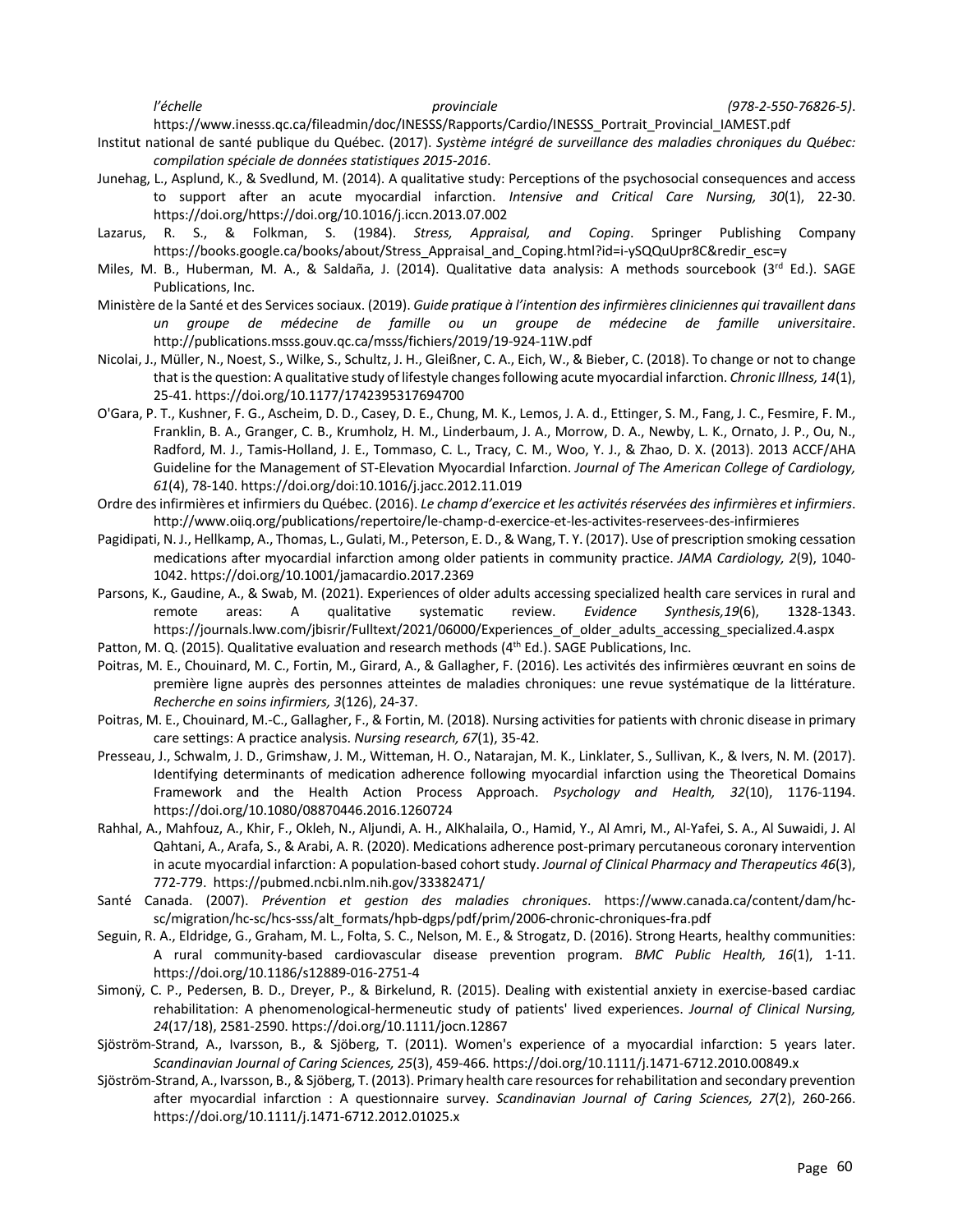*l'échelle provinciale (978-2-550-76826-5)*.

https://www.inesss.qc.ca/fileadmin/doc/INESSS/Rapports/Cardio/INESSS\_Portrait\_Provincial\_IAMEST.pdf

Institut national de santé publique du Québec. (2017). *Système intégré de surveillance des maladies chroniques du Québec: compilation spéciale de données statistiques 2015-2016*.

- Junehag, L., Asplund, K., & Svedlund, M. (2014). A qualitative study: Perceptions of the psychosocial consequences and access to support after an acute myocardial infarction. *Intensive and Critical Care Nursing, 30*(1), 22-30. https://doi.org/https://doi.org/10.1016/j.iccn.2013.07.002
- Lazarus, R. S., & Folkman, S. (1984). *Stress, Appraisal, and Coping*. Springer Publishing Company https://books.google.ca/books/about/Stress\_Appraisal\_and\_Coping.html?id=i-ySQQuUpr8C&redir\_esc=y
- Miles, M. B., Huberman, M. A., & Saldaña, J. (2014). Qualitative data analysis: A methods sourcebook (3<sup>rd</sup> Ed.). SAGE Publications, Inc.
- Ministère de la Santé et des Services sociaux. (2019). *Guide pratique à l'intention des infirmières cliniciennes qui travaillent dans un groupe de médecine de famille ou un groupe de médecine de famille universitaire*. http://publications.msss.gouv.qc.ca/msss/fichiers/2019/19-924-11W.pdf
- Nicolai, J., Müller, N., Noest, S., Wilke, S., Schultz, J. H., Gleißner, C. A., Eich, W., & Bieber, C. (2018). To change or not to change that is the question: A qualitative study of lifestyle changes following acute myocardial infarction. *Chronic Illness, 14*(1), 25-41. https://doi.org/10.1177/1742395317694700
- O'Gara, P. T., Kushner, F. G., Ascheim, D. D., Casey, D. E., Chung, M. K., Lemos, J. A. d., Ettinger, S. M., Fang, J. C., Fesmire, F. M., Franklin, B. A., Granger, C. B., Krumholz, H. M., Linderbaum, J. A., Morrow, D. A., Newby, L. K., Ornato, J. P., Ou, N., Radford, M. J., Tamis-Holland, J. E., Tommaso, C. L., Tracy, C. M., Woo, Y. J., & Zhao, D. X. (2013). 2013 ACCF/AHA Guideline for the Management of ST-Elevation Myocardial Infarction. *Journal of The American College of Cardiology, 61*(4), 78-140. https://doi.org/doi:10.1016/j.jacc.2012.11.019
- Ordre des infirmières et infirmiers du Québec. (2016). *Le champ d'exercice et les activités réservées des infirmières et infirmiers*. http://www.oiiq.org/publications/repertoire/le-champ-d-exercice-et-les-activites-reservees-des-infirmieres
- Pagidipati, N. J., Hellkamp, A., Thomas, L., Gulati, M., Peterson, E. D., & Wang, T. Y. (2017). Use of prescription smoking cessation medications after myocardial infarction among older patients in community practice. *JAMA Cardiology, 2*(9), 1040- 1042. https://doi.org/10.1001/jamacardio.2017.2369
- Parsons, K., Gaudine, A., & Swab, M. (2021). Experiences of older adults accessing specialized health care services in rural and remote areas: A qualitative systematic review. *Evidence Synthesis,19*(6), 1328-1343. https://journals.lww.com/jbisrir/Fulltext/2021/06000/Experiences\_of\_older\_adults\_accessing\_specialized.4.aspx
- Patton, M. Q. (2015). Qualitative evaluation and research methods (4<sup>th</sup> Ed.). SAGE Publications, Inc.
- Poitras, M. E., Chouinard, M. C., Fortin, M., Girard, A., & Gallagher, F. (2016). Les activités des infirmières œuvrant en soins de première ligne auprès des personnes atteintes de maladies chroniques: une revue systématique de la littérature. *Recherche en soins infirmiers, 3*(126), 24-37.
- Poitras, M. E., Chouinard, M.-C., Gallagher, F., & Fortin, M. (2018). Nursing activities for patients with chronic disease in primary care settings: A practice analysis. *Nursing research, 67*(1), 35-42.
- Presseau, J., Schwalm, J. D., Grimshaw, J. M., Witteman, H. O., Natarajan, M. K., Linklater, S., Sullivan, K., & Ivers, N. M. (2017). Identifying determinants of medication adherence following myocardial infarction using the Theoretical Domains Framework and the Health Action Process Approach. *Psychology and Health, 32*(10), 1176-1194. https://doi.org/10.1080/08870446.2016.1260724
- Rahhal, A., Mahfouz, A., Khir, F., Okleh, N., Aljundi, A. H., AlKhalaila, O., Hamid, Y., Al Amri, M., Al-Yafei, S. A., Al Suwaidi, J. Al Qahtani, A., Arafa, S., & Arabi, A. R. (2020). Medications adherence post-primary percutaneous coronary intervention in acute myocardial infarction: A population-based cohort study. *Journal of Clinical Pharmacy and Therapeutics 46*(3), 772-779. https://pubmed.ncbi.nlm.nih.gov/33382471/
- Santé Canada. (2007). *Prévention et gestion des maladies chroniques*. https://www.canada.ca/content/dam/hcsc/migration/hc-sc/hcs-sss/alt\_formats/hpb-dgps/pdf/prim/2006-chronic-chroniques-fra.pdf
- Seguin, R. A., Eldridge, G., Graham, M. L., Folta, S. C., Nelson, M. E., & Strogatz, D. (2016). Strong Hearts, healthy communities: A rural community-based cardiovascular disease prevention program. *BMC Public Health, 16*(1), 1-11. https://doi.org/10.1186/s12889-016-2751-4
- Simonÿ, C. P., Pedersen, B. D., Dreyer, P., & Birkelund, R. (2015). Dealing with existential anxiety in exercise-based cardiac rehabilitation: A phenomenological-hermeneutic study of patients' lived experiences. *Journal of Clinical Nursing, 24*(17/18), 2581-2590. https://doi.org/10.1111/jocn.12867
- Sjöström-Strand, A., Ivarsson, B., & Sjöberg, T. (2011). Women's experience of a myocardial infarction: 5 years later. *Scandinavian Journal of Caring Sciences, 25*(3), 459-466. https://doi.org/10.1111/j.1471-6712.2010.00849.x
- Sjöström-Strand, A., Ivarsson, B., & Sjöberg, T. (2013). Primary health care resources for rehabilitation and secondary prevention after myocardial infarction : A questionnaire survey. *Scandinavian Journal of Caring Sciences, 27*(2), 260-266. https://doi.org/10.1111/j.1471-6712.2012.01025.x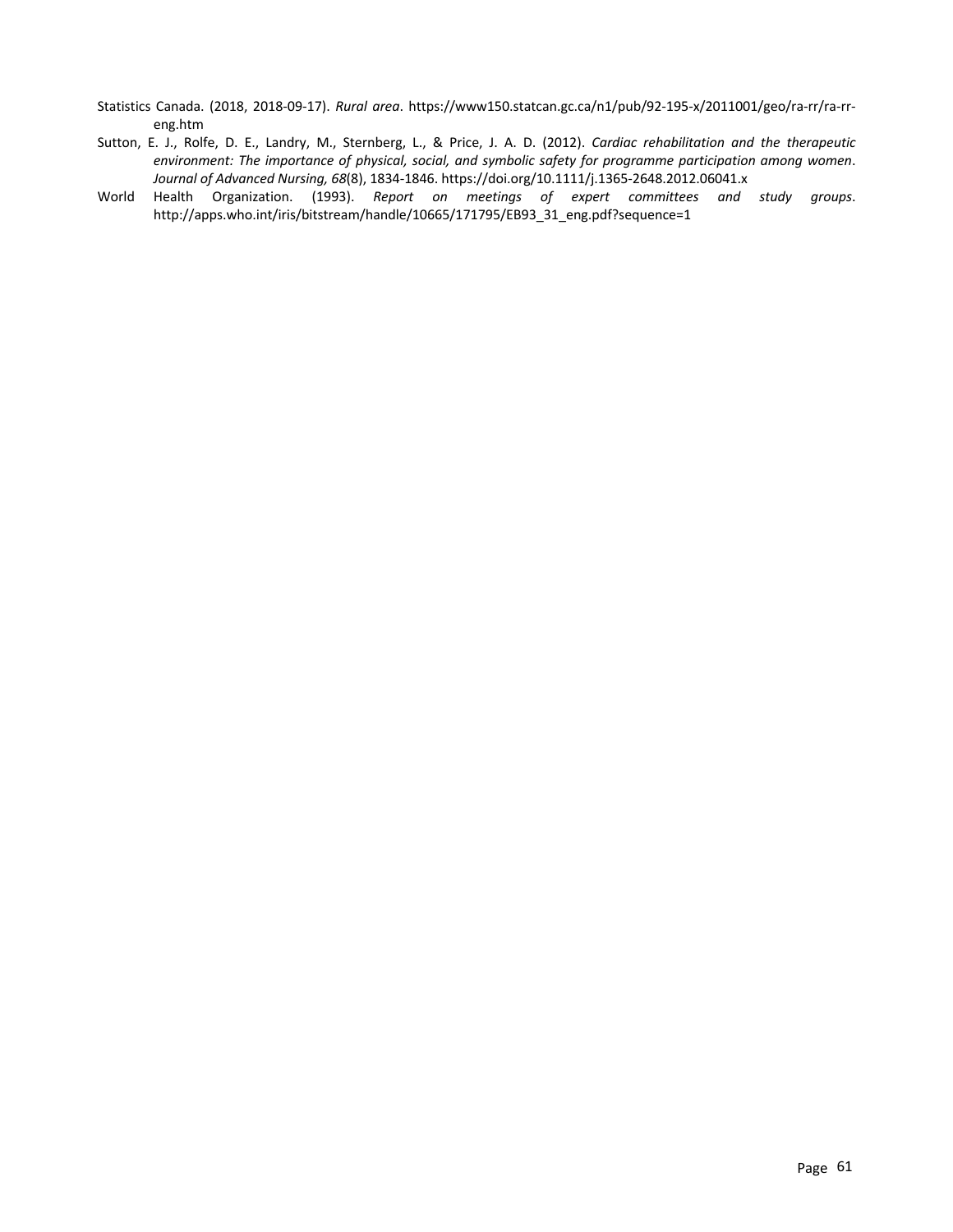- Statistics Canada. (2018, 2018-09-17). *Rural area*. https://www150.statcan.gc.ca/n1/pub/92-195-x/2011001/geo/ra-rr/ra-rreng.htm
- Sutton, E. J., Rolfe, D. E., Landry, M., Sternberg, L., & Price, J. A. D. (2012). *Cardiac rehabilitation and the therapeutic environment: The importance of physical, social, and symbolic safety for programme participation among women*. *Journal of Advanced Nursing, 68*(8), 1834-1846. https://doi.org/10.1111/j.1365-2648.2012.06041.x
- World Health Organization. (1993). *Report on meetings of expert committees and study groups*. http://apps.who.int/iris/bitstream/handle/10665/171795/EB93\_31\_eng.pdf?sequence=1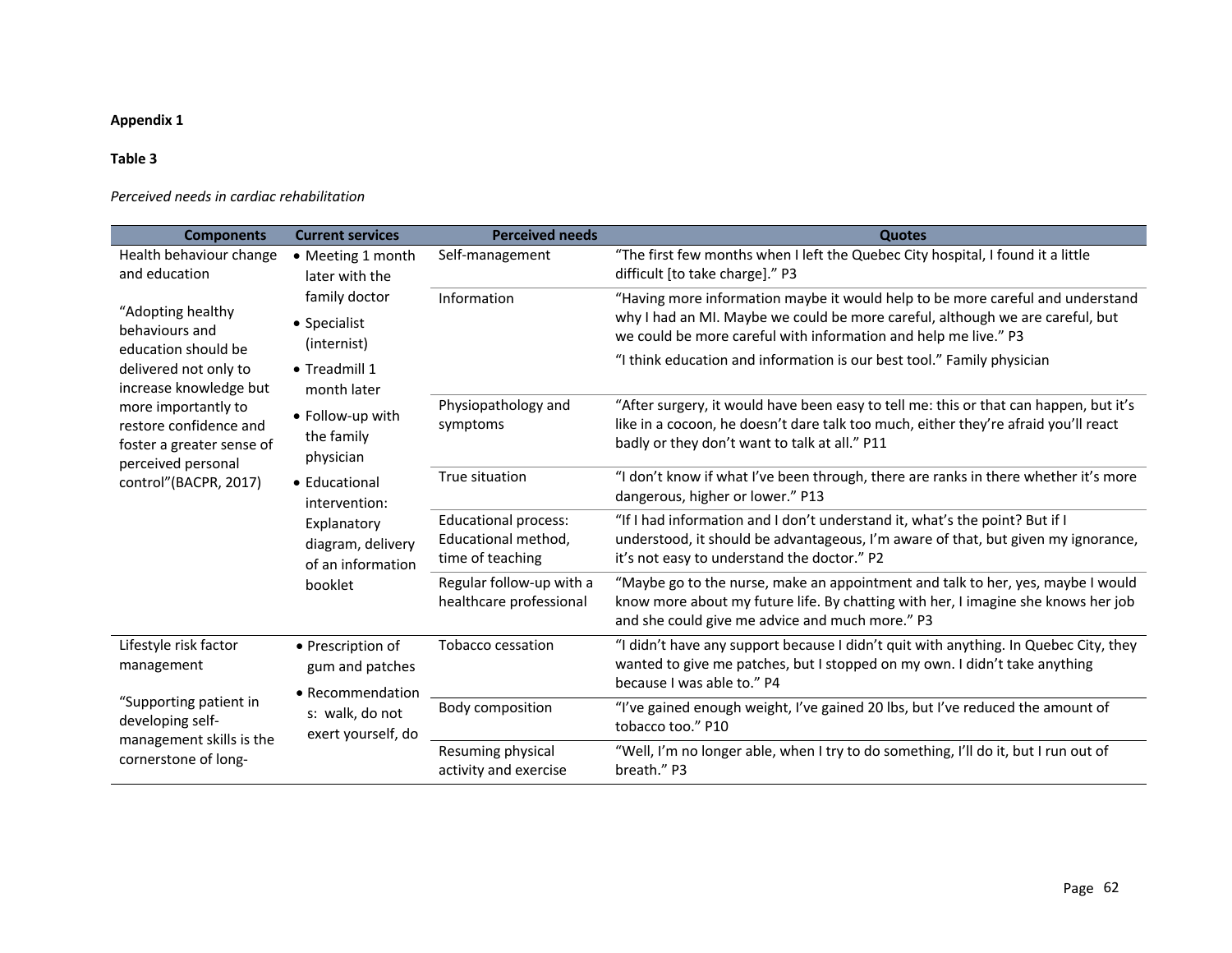## **Appendix 1**

#### **Table 3**

*Perceived needs in cardiac rehabilitation*

| <b>Components</b>                                                                                                                                                                                                                          | <b>Current services</b>                                                                                                                                                                                                           | <b>Perceived needs</b>                                                                                             | <b>Quotes</b>                                                                                                                                                                                                                                                                                                |
|--------------------------------------------------------------------------------------------------------------------------------------------------------------------------------------------------------------------------------------------|-----------------------------------------------------------------------------------------------------------------------------------------------------------------------------------------------------------------------------------|--------------------------------------------------------------------------------------------------------------------|--------------------------------------------------------------------------------------------------------------------------------------------------------------------------------------------------------------------------------------------------------------------------------------------------------------|
| Health behaviour change<br>• Meeting 1 month<br>and education<br>later with the                                                                                                                                                            | Self-management                                                                                                                                                                                                                   | "The first few months when I left the Quebec City hospital, I found it a little<br>difficult [to take charge]." P3 |                                                                                                                                                                                                                                                                                                              |
| "Adopting healthy<br>behaviours and<br>education should be<br>delivered not only to<br>increase knowledge but<br>more importantly to<br>restore confidence and<br>foster a greater sense of<br>perceived personal<br>control"(BACPR, 2017) | family doctor<br>• Specialist<br>(internist)<br>• Treadmill 1<br>month later<br>• Follow-up with<br>the family<br>physician<br>• Educational<br>intervention:<br>Explanatory<br>diagram, delivery<br>of an information<br>booklet | Information                                                                                                        | "Having more information maybe it would help to be more careful and understand<br>why I had an MI. Maybe we could be more careful, although we are careful, but<br>we could be more careful with information and help me live." P3<br>"I think education and information is our best tool." Family physician |
|                                                                                                                                                                                                                                            |                                                                                                                                                                                                                                   | Physiopathology and<br>symptoms                                                                                    | "After surgery, it would have been easy to tell me: this or that can happen, but it's<br>like in a cocoon, he doesn't dare talk too much, either they're afraid you'll react<br>badly or they don't want to talk at all." P11                                                                                |
|                                                                                                                                                                                                                                            |                                                                                                                                                                                                                                   | True situation                                                                                                     | "I don't know if what I've been through, there are ranks in there whether it's more<br>dangerous, higher or lower." P13                                                                                                                                                                                      |
|                                                                                                                                                                                                                                            |                                                                                                                                                                                                                                   | <b>Educational process:</b><br>Educational method,<br>time of teaching                                             | "If I had information and I don't understand it, what's the point? But if I<br>understood, it should be advantageous, I'm aware of that, but given my ignorance,<br>it's not easy to understand the doctor." P2                                                                                              |
|                                                                                                                                                                                                                                            |                                                                                                                                                                                                                                   | Regular follow-up with a<br>healthcare professional                                                                | "Maybe go to the nurse, make an appointment and talk to her, yes, maybe I would<br>know more about my future life. By chatting with her, I imagine she knows her job<br>and she could give me advice and much more." P3                                                                                      |
| Lifestyle risk factor<br>management                                                                                                                                                                                                        | • Prescription of<br>gum and patches<br>• Recommendation<br>s: walk, do not<br>exert yourself, do                                                                                                                                 | Tobacco cessation                                                                                                  | "I didn't have any support because I didn't quit with anything. In Quebec City, they<br>wanted to give me patches, but I stopped on my own. I didn't take anything<br>because I was able to." P4                                                                                                             |
| "Supporting patient in<br>developing self-<br>management skills is the<br>cornerstone of long-                                                                                                                                             |                                                                                                                                                                                                                                   | Body composition                                                                                                   | "I've gained enough weight, I've gained 20 lbs, but I've reduced the amount of<br>tobacco too." P10                                                                                                                                                                                                          |
|                                                                                                                                                                                                                                            |                                                                                                                                                                                                                                   | Resuming physical<br>activity and exercise                                                                         | "Well, I'm no longer able, when I try to do something, I'll do it, but I run out of<br>breath." P3                                                                                                                                                                                                           |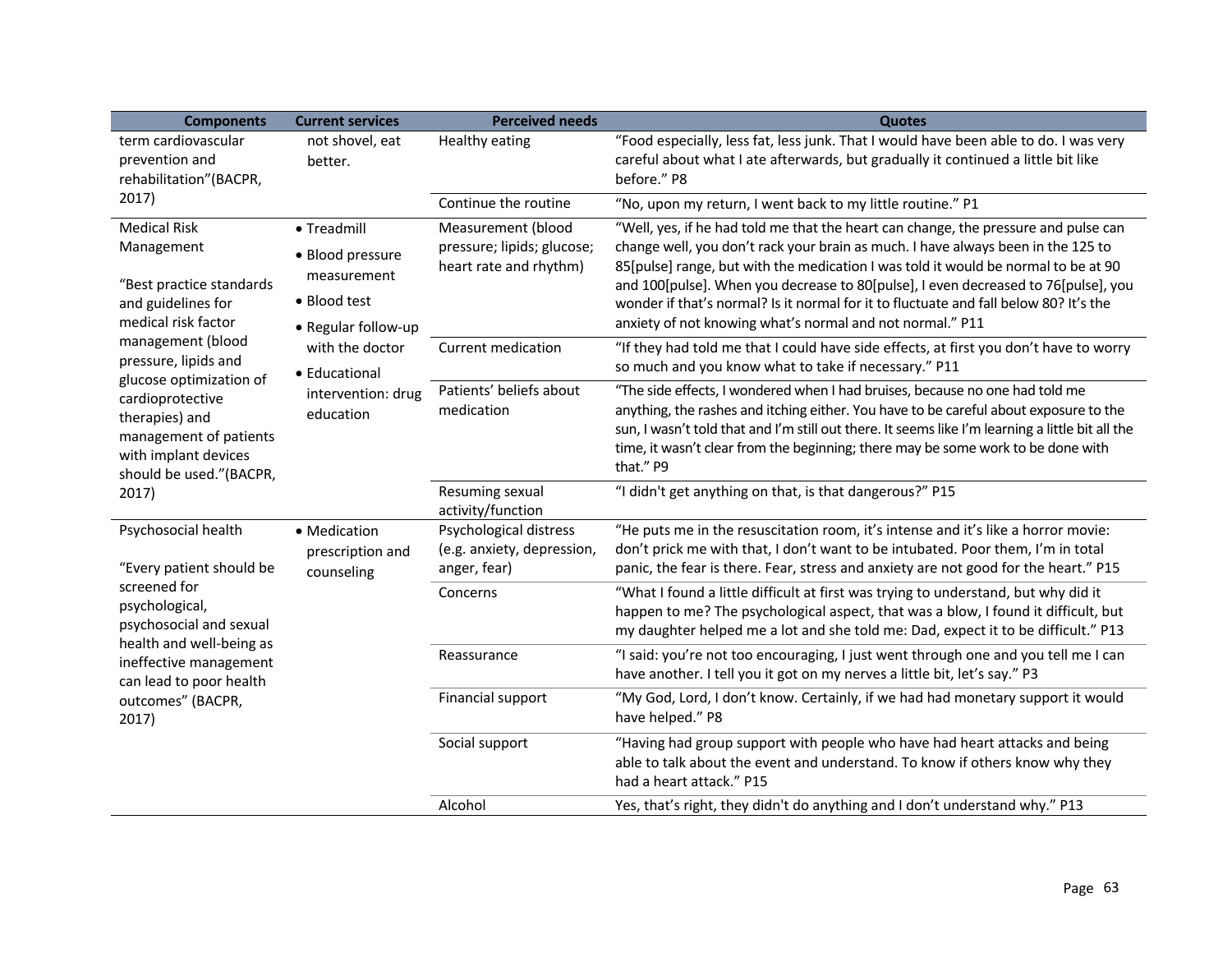| <b>Components</b>                                                                                                                                                                                                                                                                                              | <b>Current services</b>                                                               | <b>Perceived needs</b>                                                     | <b>Quotes</b>                                                                                                                                                                                                                                                                                                                                                                                                                                                                                             |
|----------------------------------------------------------------------------------------------------------------------------------------------------------------------------------------------------------------------------------------------------------------------------------------------------------------|---------------------------------------------------------------------------------------|----------------------------------------------------------------------------|-----------------------------------------------------------------------------------------------------------------------------------------------------------------------------------------------------------------------------------------------------------------------------------------------------------------------------------------------------------------------------------------------------------------------------------------------------------------------------------------------------------|
| term cardiovascular<br>prevention and<br>rehabilitation"(BACPR,<br>2017)                                                                                                                                                                                                                                       | not shovel, eat<br>better.                                                            | Healthy eating                                                             | "Food especially, less fat, less junk. That I would have been able to do. I was very<br>careful about what I ate afterwards, but gradually it continued a little bit like<br>before." P8                                                                                                                                                                                                                                                                                                                  |
|                                                                                                                                                                                                                                                                                                                |                                                                                       | Continue the routine                                                       | "No, upon my return, I went back to my little routine." P1                                                                                                                                                                                                                                                                                                                                                                                                                                                |
| <b>Medical Risk</b><br>Management<br>"Best practice standards<br>and guidelines for<br>medical risk factor<br>management (blood<br>pressure, lipids and<br>glucose optimization of<br>cardioprotective<br>therapies) and<br>management of patients<br>with implant devices<br>should be used."(BACPR,<br>2017) | • Treadmill<br>• Blood pressure<br>measurement<br>• Blood test<br>• Regular follow-up | Measurement (blood<br>pressure; lipids; glucose;<br>heart rate and rhythm) | "Well, yes, if he had told me that the heart can change, the pressure and pulse can<br>change well, you don't rack your brain as much. I have always been in the 125 to<br>85[pulse] range, but with the medication I was told it would be normal to be at 90<br>and 100[pulse]. When you decrease to 80[pulse], I even decreased to 76[pulse], you<br>wonder if that's normal? Is it normal for it to fluctuate and fall below 80? It's the<br>anxiety of not knowing what's normal and not normal." P11 |
|                                                                                                                                                                                                                                                                                                                | with the doctor<br>• Educational                                                      | <b>Current medication</b>                                                  | "If they had told me that I could have side effects, at first you don't have to worry<br>so much and you know what to take if necessary." P11                                                                                                                                                                                                                                                                                                                                                             |
|                                                                                                                                                                                                                                                                                                                | intervention: drug<br>education                                                       | Patients' beliefs about<br>medication                                      | "The side effects, I wondered when I had bruises, because no one had told me<br>anything, the rashes and itching either. You have to be careful about exposure to the<br>sun, I wasn't told that and I'm still out there. It seems like I'm learning a little bit all the<br>time, it wasn't clear from the beginning; there may be some work to be done with<br>that." P9                                                                                                                                |
|                                                                                                                                                                                                                                                                                                                |                                                                                       | Resuming sexual<br>activity/function                                       | "I didn't get anything on that, is that dangerous?" P15                                                                                                                                                                                                                                                                                                                                                                                                                                                   |
| Psychosocial health<br>"Every patient should be<br>screened for<br>psychological,<br>psychosocial and sexual<br>health and well-being as<br>ineffective management<br>can lead to poor health<br>outcomes" (BACPR,<br>2017)                                                                                    | • Medication<br>prescription and<br>counseling                                        | Psychological distress<br>(e.g. anxiety, depression,<br>anger, fear)       | "He puts me in the resuscitation room, it's intense and it's like a horror movie:<br>don't prick me with that, I don't want to be intubated. Poor them, I'm in total<br>panic, the fear is there. Fear, stress and anxiety are not good for the heart." P15                                                                                                                                                                                                                                               |
|                                                                                                                                                                                                                                                                                                                |                                                                                       | Concerns                                                                   | "What I found a little difficult at first was trying to understand, but why did it<br>happen to me? The psychological aspect, that was a blow, I found it difficult, but<br>my daughter helped me a lot and she told me: Dad, expect it to be difficult." P13                                                                                                                                                                                                                                             |
|                                                                                                                                                                                                                                                                                                                |                                                                                       | Reassurance                                                                | "I said: you're not too encouraging, I just went through one and you tell me I can<br>have another. I tell you it got on my nerves a little bit, let's say." P3                                                                                                                                                                                                                                                                                                                                           |
|                                                                                                                                                                                                                                                                                                                |                                                                                       | Financial support                                                          | "My God, Lord, I don't know. Certainly, if we had had monetary support it would<br>have helped." P8                                                                                                                                                                                                                                                                                                                                                                                                       |
|                                                                                                                                                                                                                                                                                                                |                                                                                       | Social support                                                             | "Having had group support with people who have had heart attacks and being<br>able to talk about the event and understand. To know if others know why they<br>had a heart attack." P15                                                                                                                                                                                                                                                                                                                    |
|                                                                                                                                                                                                                                                                                                                |                                                                                       | Alcohol                                                                    | Yes, that's right, they didn't do anything and I don't understand why." P13                                                                                                                                                                                                                                                                                                                                                                                                                               |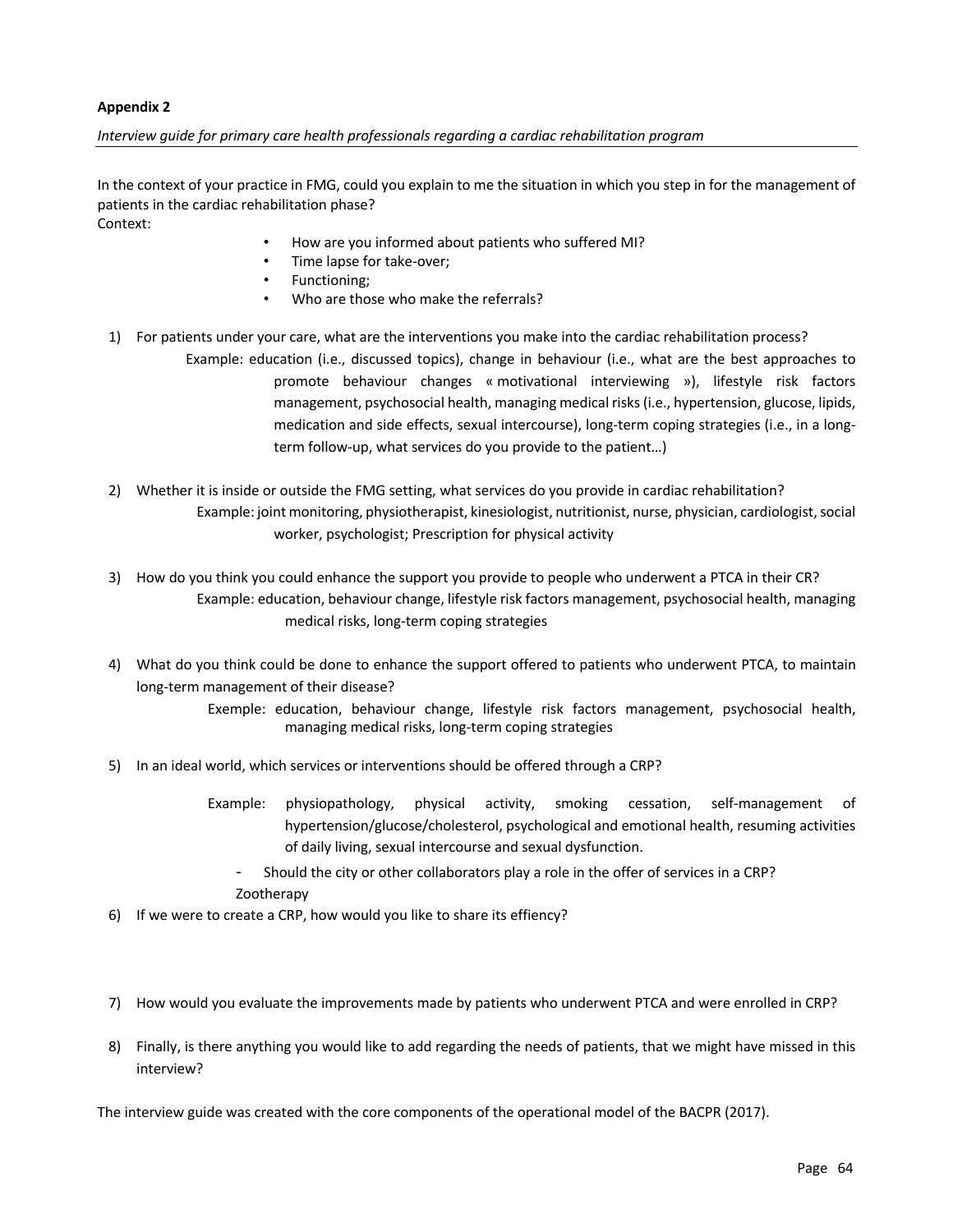#### **Appendix 2**

#### *Interview guide for primary care health professionals regarding a cardiac rehabilitation program*

In the context of your practice in FMG, could you explain to me the situation in which you step in for the management of patients in the cardiac rehabilitation phase?

Context:

- How are you informed about patients who suffered MI?
- Time lapse for take-over;
- Functioning;
- Who are those who make the referrals?
- 1) For patients under your care, what are the interventions you make into the cardiac rehabilitation process? Example: education (i.e., discussed topics), change in behaviour (i.e., what are the best approaches to promote behaviour changes « motivational interviewing »), lifestyle risk factors management, psychosocial health, managing medical risks (i.e., hypertension, glucose, lipids, medication and side effects, sexual intercourse), long-term coping strategies (i.e., in a longterm follow-up, what services do you provide to the patient…)
- 2) Whether it is inside or outside the FMG setting, what services do you provide in cardiac rehabilitation? Example: joint monitoring, physiotherapist, kinesiologist, nutritionist, nurse, physician, cardiologist, social worker, psychologist; Prescription for physical activity
- 3) How do you think you could enhance the support you provide to people who underwent a PTCA in their CR? Example: education, behaviour change, lifestyle risk factors management, psychosocial health, managing medical risks, long-term coping strategies
- 4) What do you think could be done to enhance the support offered to patients who underwent PTCA, to maintain long-term management of their disease?
	- Exemple: education, behaviour change, lifestyle risk factors management, psychosocial health, managing medical risks, long-term coping strategies
- 5) In an ideal world, which services or interventions should be offered through a CRP?
	- Example: physiopathology, physical activity, smoking cessation, self-management of hypertension/glucose/cholesterol, psychological and emotional health, resuming activities of daily living, sexual intercourse and sexual dysfunction.
		- Should the city or other collaborators play a role in the offer of services in a CRP? Zootherapy
- 6) If we were to create a CRP, how would you like to share its effiency?
- 7) How would you evaluate the improvements made by patients who underwent PTCA and were enrolled in CRP?
- 8) Finally, is there anything you would like to add regarding the needs of patients, that we might have missed in this interview?

The interview guide was created with the core components of the operational model of the BACPR (2017).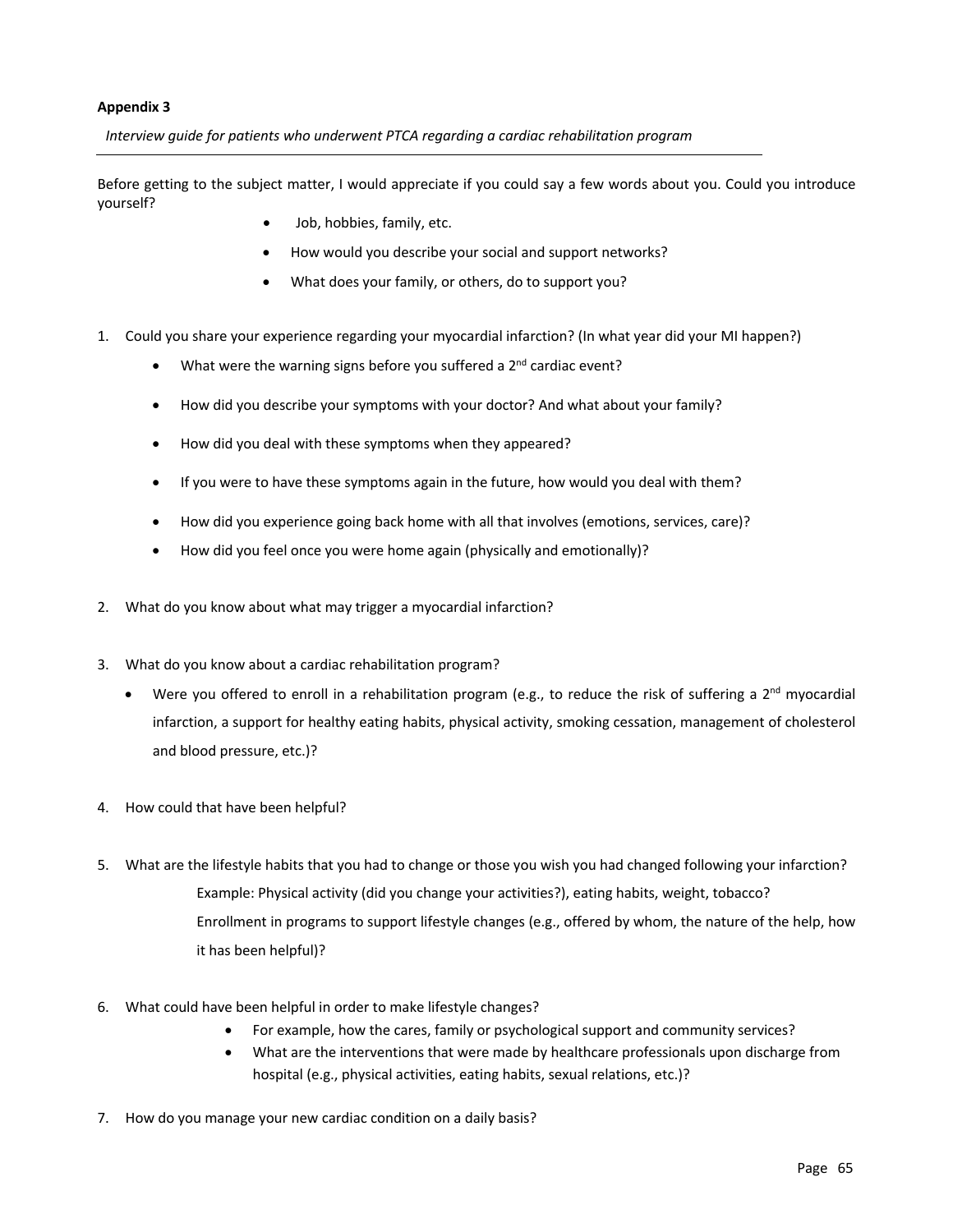#### **Appendix 3**

*Interview guide for patients who underwent PTCA regarding a cardiac rehabilitation program* 

Before getting to the subject matter, I would appreciate if you could say a few words about you. Could you introduce yourself?

- Job, hobbies, family, etc.
- How would you describe your social and support networks?
- What does your family, or others, do to support you?
- 1. Could you share your experience regarding your myocardial infarction? (In what year did your MI happen?)
	- What were the warning signs before you suffered a  $2<sup>nd</sup>$  cardiac event?
	- How did you describe your symptoms with your doctor? And what about your family?
	- How did you deal with these symptoms when they appeared?
	- If you were to have these symptoms again in the future, how would you deal with them?
	- How did you experience going back home with all that involves (emotions, services, care)?
	- How did you feel once you were home again (physically and emotionally)?
- 2. What do you know about what may trigger a myocardial infarction?
- 3. What do you know about a cardiac rehabilitation program?
	- Were you offered to enroll in a rehabilitation program (e.g., to reduce the risk of suffering a  $2^{nd}$  myocardial infarction, a support for healthy eating habits, physical activity, smoking cessation, management of cholesterol and blood pressure, etc.)?
- 4. How could that have been helpful?
- 5. What are the lifestyle habits that you had to change or those you wish you had changed following your infarction? Example: Physical activity (did you change your activities?), eating habits, weight, tobacco? Enrollment in programs to support lifestyle changes (e.g., offered by whom, the nature of the help, how it has been helpful)?
- 6. What could have been helpful in order to make lifestyle changes?
	- For example, how the cares, family or psychological support and community services?
	- What are the interventions that were made by healthcare professionals upon discharge from hospital (e.g., physical activities, eating habits, sexual relations, etc.)?
- 7. How do you manage your new cardiac condition on a daily basis?